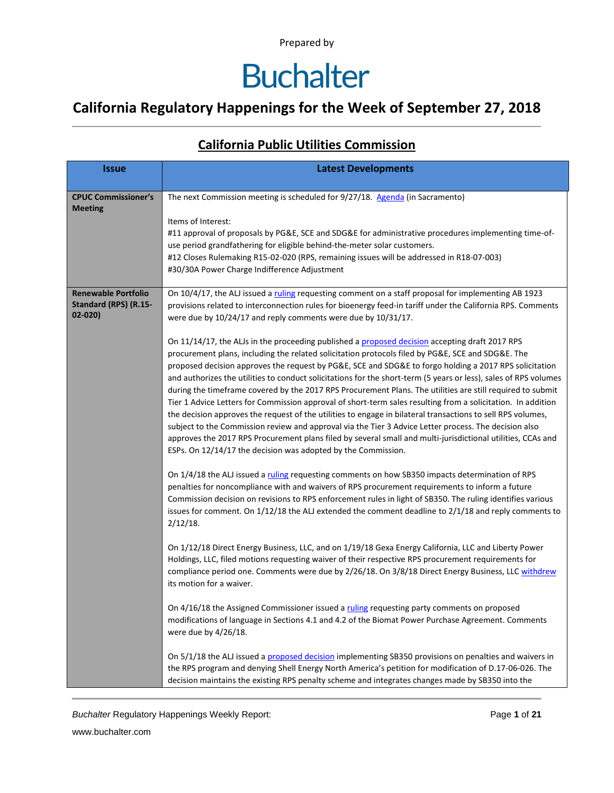# **Buchalter**

### **California Regulatory Happenings for the Week of September 27, 2018**

#### **California Public Utilities Commission**

| <b>Issue</b>                                                      | <b>Latest Developments</b>                                                                                                                                                                                                                                                                                                                                                                                                                                                                                                                                                                                                                                                                                                                                                                                                                                                                                                                                                                                                                                                                                                                                                                                                                                                                                                                                                                                                                                                                                                                                                                                                                                                                                                                                                                                                                                                                                                                                                                                                                                                                                                                                                                                                                                                                                                                                                                                                                                                                                                                                                                                                                                                                                      |
|-------------------------------------------------------------------|-----------------------------------------------------------------------------------------------------------------------------------------------------------------------------------------------------------------------------------------------------------------------------------------------------------------------------------------------------------------------------------------------------------------------------------------------------------------------------------------------------------------------------------------------------------------------------------------------------------------------------------------------------------------------------------------------------------------------------------------------------------------------------------------------------------------------------------------------------------------------------------------------------------------------------------------------------------------------------------------------------------------------------------------------------------------------------------------------------------------------------------------------------------------------------------------------------------------------------------------------------------------------------------------------------------------------------------------------------------------------------------------------------------------------------------------------------------------------------------------------------------------------------------------------------------------------------------------------------------------------------------------------------------------------------------------------------------------------------------------------------------------------------------------------------------------------------------------------------------------------------------------------------------------------------------------------------------------------------------------------------------------------------------------------------------------------------------------------------------------------------------------------------------------------------------------------------------------------------------------------------------------------------------------------------------------------------------------------------------------------------------------------------------------------------------------------------------------------------------------------------------------------------------------------------------------------------------------------------------------------------------------------------------------------------------------------------------------|
| <b>CPUC Commissioner's</b><br><b>Meeting</b>                      | The next Commission meeting is scheduled for 9/27/18. Agenda (in Sacramento)<br>Items of Interest:<br>#11 approval of proposals by PG&E, SCE and SDG&E for administrative procedures implementing time-of-<br>use period grandfathering for eligible behind-the-meter solar customers.<br>#12 Closes Rulemaking R15-02-020 (RPS, remaining issues will be addressed in R18-07-003)<br>#30/30A Power Charge Indifference Adjustment                                                                                                                                                                                                                                                                                                                                                                                                                                                                                                                                                                                                                                                                                                                                                                                                                                                                                                                                                                                                                                                                                                                                                                                                                                                                                                                                                                                                                                                                                                                                                                                                                                                                                                                                                                                                                                                                                                                                                                                                                                                                                                                                                                                                                                                                              |
| <b>Renewable Portfolio</b><br>Standard (RPS) (R.15-<br>$02 - 020$ | On 10/4/17, the ALJ issued a ruling requesting comment on a staff proposal for implementing AB 1923<br>provisions related to interconnection rules for bioenergy feed-in tariff under the California RPS. Comments<br>were due by 10/24/17 and reply comments were due by 10/31/17.<br>On 11/14/17, the ALJs in the proceeding published a proposed decision accepting draft 2017 RPS<br>procurement plans, including the related solicitation protocols filed by PG&E, SCE and SDG&E. The<br>proposed decision approves the request by PG&E, SCE and SDG&E to forgo holding a 2017 RPS solicitation<br>and authorizes the utilities to conduct solicitations for the short-term (5 years or less), sales of RPS volumes<br>during the timeframe covered by the 2017 RPS Procurement Plans. The utilities are still required to submit<br>Tier 1 Advice Letters for Commission approval of short-term sales resulting from a solicitation. In addition<br>the decision approves the request of the utilities to engage in bilateral transactions to sell RPS volumes,<br>subject to the Commission review and approval via the Tier 3 Advice Letter process. The decision also<br>approves the 2017 RPS Procurement plans filed by several small and multi-jurisdictional utilities, CCAs and<br>ESPs. On 12/14/17 the decision was adopted by the Commission.<br>On 1/4/18 the ALJ issued a ruling requesting comments on how SB350 impacts determination of RPS<br>penalties for noncompliance with and waivers of RPS procurement requirements to inform a future<br>Commission decision on revisions to RPS enforcement rules in light of SB350. The ruling identifies various<br>issues for comment. On 1/12/18 the ALJ extended the comment deadline to 2/1/18 and reply comments to<br>$2/12/18$ .<br>On 1/12/18 Direct Energy Business, LLC, and on 1/19/18 Gexa Energy California, LLC and Liberty Power<br>Holdings, LLC, filed motions requesting waiver of their respective RPS procurement requirements for<br>compliance period one. Comments were due by 2/26/18. On 3/8/18 Direct Energy Business, LLC withdrew<br>its motion for a waiver.<br>On 4/16/18 the Assigned Commissioner issued a ruling requesting party comments on proposed<br>modifications of language in Sections 4.1 and 4.2 of the Biomat Power Purchase Agreement. Comments<br>were due by 4/26/18.<br>On 5/1/18 the ALJ issued a proposed decision implementing SB350 provisions on penalties and waivers in<br>the RPS program and denying Shell Energy North America's petition for modification of D.17-06-026. The<br>decision maintains the existing RPS penalty scheme and integrates changes made by SB350 into the |

**Buchalter Regulatory Happenings Weekly Report:** Page 1 of 21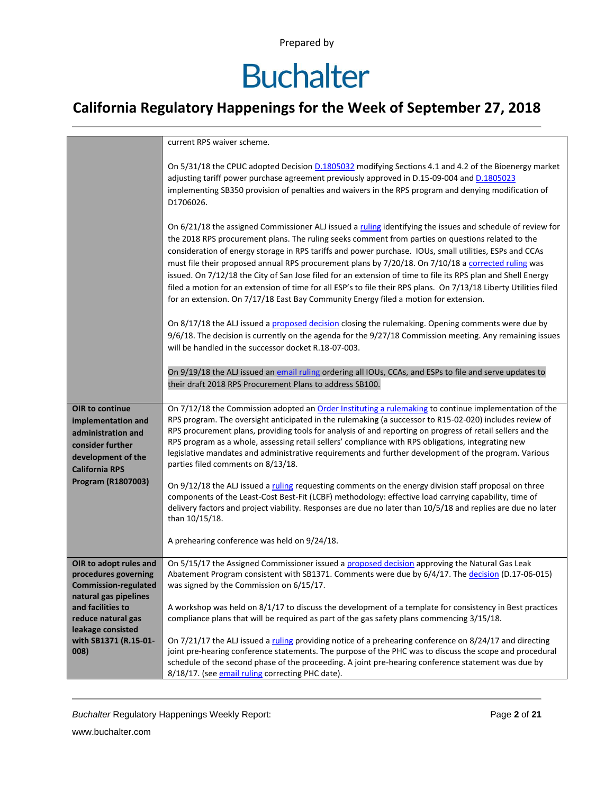# **Buchalter**

### **California Regulatory Happenings for the Week of September 27, 2018**

|                                                                                                                                | current RPS waiver scheme.                                                                                                                                                                                                                                                                                                                                                                                                                                                                                                                                                                                                                                                                                                                                     |
|--------------------------------------------------------------------------------------------------------------------------------|----------------------------------------------------------------------------------------------------------------------------------------------------------------------------------------------------------------------------------------------------------------------------------------------------------------------------------------------------------------------------------------------------------------------------------------------------------------------------------------------------------------------------------------------------------------------------------------------------------------------------------------------------------------------------------------------------------------------------------------------------------------|
|                                                                                                                                | On 5/31/18 the CPUC adopted Decision D.1805032 modifying Sections 4.1 and 4.2 of the Bioenergy market<br>adjusting tariff power purchase agreement previously approved in D.15-09-004 and D.1805023<br>implementing SB350 provision of penalties and waivers in the RPS program and denying modification of<br>D1706026.                                                                                                                                                                                                                                                                                                                                                                                                                                       |
|                                                                                                                                | On 6/21/18 the assigned Commissioner ALJ issued a ruling identifying the issues and schedule of review for<br>the 2018 RPS procurement plans. The ruling seeks comment from parties on questions related to the<br>consideration of energy storage in RPS tariffs and power purchase. IOUs, small utilities, ESPs and CCAs<br>must file their proposed annual RPS procurement plans by 7/20/18. On 7/10/18 a corrected ruling was<br>issued. On 7/12/18 the City of San Jose filed for an extension of time to file its RPS plan and Shell Energy<br>filed a motion for an extension of time for all ESP's to file their RPS plans. On 7/13/18 Liberty Utilities filed<br>for an extension. On 7/17/18 East Bay Community Energy filed a motion for extension. |
|                                                                                                                                | On 8/17/18 the ALJ issued a proposed decision closing the rulemaking. Opening comments were due by<br>9/6/18. The decision is currently on the agenda for the 9/27/18 Commission meeting. Any remaining issues<br>will be handled in the successor docket R.18-07-003.                                                                                                                                                                                                                                                                                                                                                                                                                                                                                         |
|                                                                                                                                | On 9/19/18 the ALJ issued an email ruling ordering all IOUs, CCAs, and ESPs to file and serve updates to<br>their draft 2018 RPS Procurement Plans to address SB100.                                                                                                                                                                                                                                                                                                                                                                                                                                                                                                                                                                                           |
| OIR to continue<br>implementation and<br>administration and<br>consider further<br>development of the<br><b>California RPS</b> | On 7/12/18 the Commission adopted an Order Instituting a rulemaking to continue implementation of the<br>RPS program. The oversight anticipated in the rulemaking (a successor to R15-02-020) includes review of<br>RPS procurement plans, providing tools for analysis of and reporting on progress of retail sellers and the<br>RPS program as a whole, assessing retail sellers' compliance with RPS obligations, integrating new<br>legislative mandates and administrative requirements and further development of the program. Various<br>parties filed comments on 8/13/18.                                                                                                                                                                             |
| Program (R1807003)                                                                                                             | On 9/12/18 the ALJ issued a ruling requesting comments on the energy division staff proposal on three<br>components of the Least-Cost Best-Fit (LCBF) methodology: effective load carrying capability, time of<br>delivery factors and project viability. Responses are due no later than 10/5/18 and replies are due no later<br>than 10/15/18.                                                                                                                                                                                                                                                                                                                                                                                                               |
|                                                                                                                                | A prehearing conference was held on 9/24/18.                                                                                                                                                                                                                                                                                                                                                                                                                                                                                                                                                                                                                                                                                                                   |
| OIR to adopt rules and<br>procedures governing<br><b>Commission-regulated</b><br>natural gas pipelines                         | On 5/15/17 the Assigned Commissioner issued a proposed decision approving the Natural Gas Leak<br>Abatement Program consistent with SB1371. Comments were due by 6/4/17. The decision (D.17-06-015)<br>was signed by the Commission on 6/15/17.                                                                                                                                                                                                                                                                                                                                                                                                                                                                                                                |
| and facilities to<br>reduce natural gas<br>leakage consisted                                                                   | A workshop was held on 8/1/17 to discuss the development of a template for consistency in Best practices<br>compliance plans that will be required as part of the gas safety plans commencing 3/15/18.                                                                                                                                                                                                                                                                                                                                                                                                                                                                                                                                                         |
| with SB1371 (R.15-01-<br>008)                                                                                                  | On 7/21/17 the ALJ issued a ruling providing notice of a prehearing conference on 8/24/17 and directing<br>joint pre-hearing conference statements. The purpose of the PHC was to discuss the scope and procedural<br>schedule of the second phase of the proceeding. A joint pre-hearing conference statement was due by<br>8/18/17. (see email ruling correcting PHC date).                                                                                                                                                                                                                                                                                                                                                                                  |

**Buchalter Regulatory Happenings Weekly Report:** Page 2 of 21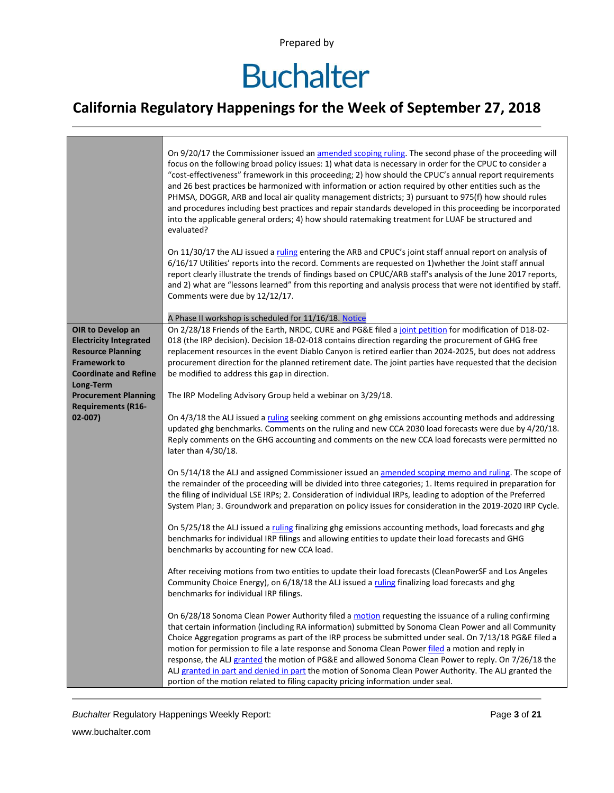# **Buchalter**

### **California Regulatory Happenings for the Week of September 27, 2018**

|                                                                                                                                       | On 9/20/17 the Commissioner issued an amended scoping ruling. The second phase of the proceeding will<br>focus on the following broad policy issues: 1) what data is necessary in order for the CPUC to consider a<br>"cost-effectiveness" framework in this proceeding; 2) how should the CPUC's annual report requirements<br>and 26 best practices be harmonized with information or action required by other entities such as the<br>PHMSA, DOGGR, ARB and local air quality management districts; 3) pursuant to 975(f) how should rules<br>and procedures including best practices and repair standards developed in this proceeding be incorporated<br>into the applicable general orders; 4) how should ratemaking treatment for LUAF be structured and<br>evaluated? |
|---------------------------------------------------------------------------------------------------------------------------------------|-------------------------------------------------------------------------------------------------------------------------------------------------------------------------------------------------------------------------------------------------------------------------------------------------------------------------------------------------------------------------------------------------------------------------------------------------------------------------------------------------------------------------------------------------------------------------------------------------------------------------------------------------------------------------------------------------------------------------------------------------------------------------------|
|                                                                                                                                       | On 11/30/17 the ALJ issued a ruling entering the ARB and CPUC's joint staff annual report on analysis of<br>6/16/17 Utilities' reports into the record. Comments are requested on 1) whether the Joint staff annual<br>report clearly illustrate the trends of findings based on CPUC/ARB staff's analysis of the June 2017 reports,<br>and 2) what are "lessons learned" from this reporting and analysis process that were not identified by staff.<br>Comments were due by 12/12/17.                                                                                                                                                                                                                                                                                       |
|                                                                                                                                       | A Phase II workshop is scheduled for 11/16/18. Notice                                                                                                                                                                                                                                                                                                                                                                                                                                                                                                                                                                                                                                                                                                                         |
| OIR to Develop an<br><b>Electricity Integrated</b><br><b>Resource Planning</b><br><b>Framework to</b><br><b>Coordinate and Refine</b> | On 2/28/18 Friends of the Earth, NRDC, CURE and PG&E filed a joint petition for modification of D18-02-<br>018 (the IRP decision). Decision 18-02-018 contains direction regarding the procurement of GHG free<br>replacement resources in the event Diablo Canyon is retired earlier than 2024-2025, but does not address<br>procurement direction for the planned retirement date. The joint parties have requested that the decision<br>be modified to address this gap in direction.                                                                                                                                                                                                                                                                                      |
| Long-Term                                                                                                                             |                                                                                                                                                                                                                                                                                                                                                                                                                                                                                                                                                                                                                                                                                                                                                                               |
| <b>Procurement Planning</b>                                                                                                           | The IRP Modeling Advisory Group held a webinar on 3/29/18.                                                                                                                                                                                                                                                                                                                                                                                                                                                                                                                                                                                                                                                                                                                    |
| <b>Requirements (R16-</b><br>$02 - 007$                                                                                               | On 4/3/18 the ALJ issued a ruling seeking comment on ghg emissions accounting methods and addressing<br>updated ghg benchmarks. Comments on the ruling and new CCA 2030 load forecasts were due by 4/20/18.<br>Reply comments on the GHG accounting and comments on the new CCA load forecasts were permitted no<br>later than 4/30/18.                                                                                                                                                                                                                                                                                                                                                                                                                                       |
|                                                                                                                                       | On 5/14/18 the ALJ and assigned Commissioner issued an amended scoping memo and ruling. The scope of<br>the remainder of the proceeding will be divided into three categories; 1. Items required in preparation for<br>the filing of individual LSE IRPs; 2. Consideration of individual IRPs, leading to adoption of the Preferred<br>System Plan; 3. Groundwork and preparation on policy issues for consideration in the 2019-2020 IRP Cycle.                                                                                                                                                                                                                                                                                                                              |
|                                                                                                                                       | On 5/25/18 the ALJ issued a ruling finalizing ghg emissions accounting methods, load forecasts and ghg<br>benchmarks for individual IRP filings and allowing entities to update their load forecasts and GHG<br>benchmarks by accounting for new CCA load.                                                                                                                                                                                                                                                                                                                                                                                                                                                                                                                    |
|                                                                                                                                       | After receiving motions from two entities to update their load forecasts (CleanPowerSF and Los Angeles<br>Community Choice Energy), on 6/18/18 the ALJ issued a ruling finalizing load forecasts and ghg<br>benchmarks for individual IRP filings.                                                                                                                                                                                                                                                                                                                                                                                                                                                                                                                            |
|                                                                                                                                       | On 6/28/18 Sonoma Clean Power Authority filed a motion requesting the issuance of a ruling confirming<br>that certain information (including RA information) submitted by Sonoma Clean Power and all Community<br>Choice Aggregation programs as part of the IRP process be submitted under seal. On 7/13/18 PG&E filed a<br>motion for permission to file a late response and Sonoma Clean Power filed a motion and reply in<br>response, the ALJ granted the motion of PG&E and allowed Sonoma Clean Power to reply. On 7/26/18 the<br>ALJ granted in part and denied in part the motion of Sonoma Clean Power Authority. The ALJ granted the<br>portion of the motion related to filing capacity pricing information under seal.                                           |

**Buchalter Regulatory Happenings Weekly Report:** Page 3 of 21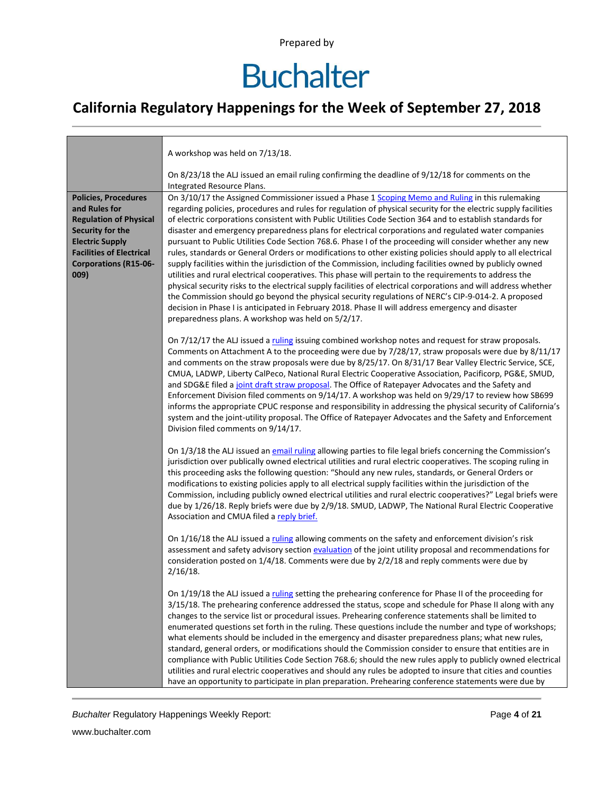# **Buchalter**

### **California Regulatory Happenings for the Week of September 27, 2018**

|                                                                                                                                                                                                        | A workshop was held on 7/13/18.                                                                                                                                                                                                                                                                                                                                                                                                                                                                                                                                                                                                                                                                                                                                                                                                                                                                                                                                                                                                                                                                                                                                                                                                                                                   |
|--------------------------------------------------------------------------------------------------------------------------------------------------------------------------------------------------------|-----------------------------------------------------------------------------------------------------------------------------------------------------------------------------------------------------------------------------------------------------------------------------------------------------------------------------------------------------------------------------------------------------------------------------------------------------------------------------------------------------------------------------------------------------------------------------------------------------------------------------------------------------------------------------------------------------------------------------------------------------------------------------------------------------------------------------------------------------------------------------------------------------------------------------------------------------------------------------------------------------------------------------------------------------------------------------------------------------------------------------------------------------------------------------------------------------------------------------------------------------------------------------------|
|                                                                                                                                                                                                        | On 8/23/18 the ALJ issued an email ruling confirming the deadline of $9/12/18$ for comments on the<br>Integrated Resource Plans.                                                                                                                                                                                                                                                                                                                                                                                                                                                                                                                                                                                                                                                                                                                                                                                                                                                                                                                                                                                                                                                                                                                                                  |
| <b>Policies, Procedures</b><br>and Rules for<br><b>Regulation of Physical</b><br>Security for the<br><b>Electric Supply</b><br><b>Facilities of Electrical</b><br><b>Corporations (R15-06-</b><br>009) | On 3/10/17 the Assigned Commissioner issued a Phase 1 Scoping Memo and Ruling in this rulemaking<br>regarding policies, procedures and rules for regulation of physical security for the electric supply facilities<br>of electric corporations consistent with Public Utilities Code Section 364 and to establish standards for<br>disaster and emergency preparedness plans for electrical corporations and regulated water companies<br>pursuant to Public Utilities Code Section 768.6. Phase I of the proceeding will consider whether any new<br>rules, standards or General Orders or modifications to other existing policies should apply to all electrical<br>supply facilities within the jurisdiction of the Commission, including facilities owned by publicly owned<br>utilities and rural electrical cooperatives. This phase will pertain to the requirements to address the<br>physical security risks to the electrical supply facilities of electrical corporations and will address whether<br>the Commission should go beyond the physical security regulations of NERC's CIP-9-014-2. A proposed<br>decision in Phase I is anticipated in February 2018. Phase II will address emergency and disaster<br>preparedness plans. A workshop was held on 5/2/17. |
|                                                                                                                                                                                                        | On 7/12/17 the ALJ issued a ruling issuing combined workshop notes and request for straw proposals.<br>Comments on Attachment A to the proceeding were due by 7/28/17, straw proposals were due by 8/11/17<br>and comments on the straw proposals were due by 8/25/17. On 8/31/17 Bear Valley Electric Service, SCE,<br>CMUA, LADWP, Liberty CalPeco, National Rural Electric Cooperative Association, Pacificorp, PG&E, SMUD,<br>and SDG&E filed a joint draft straw proposal. The Office of Ratepayer Advocates and the Safety and<br>Enforcement Division filed comments on 9/14/17. A workshop was held on 9/29/17 to review how SB699<br>informs the appropriate CPUC response and responsibility in addressing the physical security of California's<br>system and the joint-utility proposal. The Office of Ratepayer Advocates and the Safety and Enforcement<br>Division filed comments on 9/14/17.                                                                                                                                                                                                                                                                                                                                                                      |
|                                                                                                                                                                                                        | On 1/3/18 the ALJ issued an email ruling allowing parties to file legal briefs concerning the Commission's<br>jurisdiction over publically owned electrical utilities and rural electric cooperatives. The scoping ruling in<br>this proceeding asks the following question: "Should any new rules, standards, or General Orders or<br>modifications to existing policies apply to all electrical supply facilities within the jurisdiction of the<br>Commission, including publicly owned electrical utilities and rural electric cooperatives?" Legal briefs were<br>due by 1/26/18. Reply briefs were due by 2/9/18. SMUD, LADWP, The National Rural Electric Cooperative<br>Association and CMUA filed a reply brief.                                                                                                                                                                                                                                                                                                                                                                                                                                                                                                                                                         |
|                                                                                                                                                                                                        | On 1/16/18 the ALJ issued a ruling allowing comments on the safety and enforcement division's risk<br>assessment and safety advisory section evaluation of the joint utility proposal and recommendations for<br>consideration posted on 1/4/18. Comments were due by 2/2/18 and reply comments were due by<br>$2/16/18$ .                                                                                                                                                                                                                                                                                                                                                                                                                                                                                                                                                                                                                                                                                                                                                                                                                                                                                                                                                        |
|                                                                                                                                                                                                        | On 1/19/18 the ALJ issued a ruling setting the prehearing conference for Phase II of the proceeding for<br>3/15/18. The prehearing conference addressed the status, scope and schedule for Phase II along with any<br>changes to the service list or procedural issues. Prehearing conference statements shall be limited to<br>enumerated questions set forth in the ruling. These questions include the number and type of workshops;<br>what elements should be included in the emergency and disaster preparedness plans; what new rules,<br>standard, general orders, or modifications should the Commission consider to ensure that entities are in<br>compliance with Public Utilities Code Section 768.6; should the new rules apply to publicly owned electrical<br>utilities and rural electric cooperatives and should any rules be adopted to insure that cities and counties<br>have an opportunity to participate in plan preparation. Prehearing conference statements were due by                                                                                                                                                                                                                                                                                 |

**Buchalter Regulatory Happenings Weekly Report:** Page 4 of 21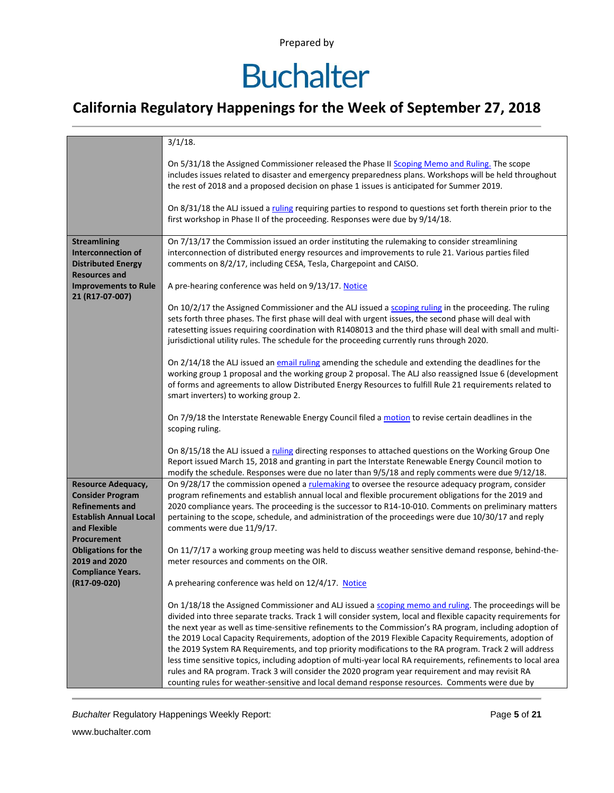## **Buchalter**

### **California Regulatory Happenings for the Week of September 27, 2018**

|                                                                                                                                                         | $3/1/18$ .                                                                                                                                                                                                                                                                                                                                                                                                                                                                                                                                                                                                                                                                                                                                                                                                                                                                        |
|---------------------------------------------------------------------------------------------------------------------------------------------------------|-----------------------------------------------------------------------------------------------------------------------------------------------------------------------------------------------------------------------------------------------------------------------------------------------------------------------------------------------------------------------------------------------------------------------------------------------------------------------------------------------------------------------------------------------------------------------------------------------------------------------------------------------------------------------------------------------------------------------------------------------------------------------------------------------------------------------------------------------------------------------------------|
|                                                                                                                                                         | On 5/31/18 the Assigned Commissioner released the Phase II Scoping Memo and Ruling. The scope<br>includes issues related to disaster and emergency preparedness plans. Workshops will be held throughout<br>the rest of 2018 and a proposed decision on phase 1 issues is anticipated for Summer 2019.<br>On 8/31/18 the ALJ issued a ruling requiring parties to respond to questions set forth therein prior to the<br>first workshop in Phase II of the proceeding. Responses were due by 9/14/18.                                                                                                                                                                                                                                                                                                                                                                             |
|                                                                                                                                                         |                                                                                                                                                                                                                                                                                                                                                                                                                                                                                                                                                                                                                                                                                                                                                                                                                                                                                   |
| <b>Streamlining</b><br><b>Interconnection of</b><br><b>Distributed Energy</b><br><b>Resources and</b><br><b>Improvements to Rule</b><br>21 (R17-07-007) | On 7/13/17 the Commission issued an order instituting the rulemaking to consider streamlining<br>interconnection of distributed energy resources and improvements to rule 21. Various parties filed<br>comments on 8/2/17, including CESA, Tesla, Chargepoint and CAISO.<br>A pre-hearing conference was held on 9/13/17. Notice<br>On 10/2/17 the Assigned Commissioner and the ALJ issued a scoping ruling in the proceeding. The ruling                                                                                                                                                                                                                                                                                                                                                                                                                                        |
|                                                                                                                                                         | sets forth three phases. The first phase will deal with urgent issues, the second phase will deal with<br>ratesetting issues requiring coordination with R1408013 and the third phase will deal with small and multi-<br>jurisdictional utility rules. The schedule for the proceeding currently runs through 2020.                                                                                                                                                                                                                                                                                                                                                                                                                                                                                                                                                               |
|                                                                                                                                                         | On 2/14/18 the ALJ issued an email ruling amending the schedule and extending the deadlines for the<br>working group 1 proposal and the working group 2 proposal. The ALJ also reassigned Issue 6 (development<br>of forms and agreements to allow Distributed Energy Resources to fulfill Rule 21 requirements related to<br>smart inverters) to working group 2.                                                                                                                                                                                                                                                                                                                                                                                                                                                                                                                |
|                                                                                                                                                         | On 7/9/18 the Interstate Renewable Energy Council filed a motion to revise certain deadlines in the<br>scoping ruling.                                                                                                                                                                                                                                                                                                                                                                                                                                                                                                                                                                                                                                                                                                                                                            |
|                                                                                                                                                         | On 8/15/18 the ALJ issued a ruling directing responses to attached questions on the Working Group One<br>Report issued March 15, 2018 and granting in part the Interstate Renewable Energy Council motion to<br>modify the schedule. Responses were due no later than 9/5/18 and reply comments were due 9/12/18.                                                                                                                                                                                                                                                                                                                                                                                                                                                                                                                                                                 |
| <b>Resource Adequacy,</b><br><b>Consider Program</b><br><b>Refinements and</b><br><b>Establish Annual Local</b>                                         | On 9/28/17 the commission opened a rulemaking to oversee the resource adequacy program, consider<br>program refinements and establish annual local and flexible procurement obligations for the 2019 and<br>2020 compliance years. The proceeding is the successor to R14-10-010. Comments on preliminary matters<br>pertaining to the scope, schedule, and administration of the proceedings were due 10/30/17 and reply                                                                                                                                                                                                                                                                                                                                                                                                                                                         |
| and Flexible                                                                                                                                            | comments were due 11/9/17.                                                                                                                                                                                                                                                                                                                                                                                                                                                                                                                                                                                                                                                                                                                                                                                                                                                        |
| Procurement<br><b>Obligations for the</b><br>2019 and 2020<br><b>Compliance Years.</b>                                                                  | On 11/7/17 a working group meeting was held to discuss weather sensitive demand response, behind-the-<br>meter resources and comments on the OIR.                                                                                                                                                                                                                                                                                                                                                                                                                                                                                                                                                                                                                                                                                                                                 |
| (R17-09-020)                                                                                                                                            | A prehearing conference was held on 12/4/17. Notice                                                                                                                                                                                                                                                                                                                                                                                                                                                                                                                                                                                                                                                                                                                                                                                                                               |
|                                                                                                                                                         | On 1/18/18 the Assigned Commissioner and ALJ issued a scoping memo and ruling. The proceedings will be<br>divided into three separate tracks. Track 1 will consider system, local and flexible capacity requirements for<br>the next year as well as time-sensitive refinements to the Commission's RA program, including adoption of<br>the 2019 Local Capacity Requirements, adoption of the 2019 Flexible Capacity Requirements, adoption of<br>the 2019 System RA Requirements, and top priority modifications to the RA program. Track 2 will address<br>less time sensitive topics, including adoption of multi-year local RA requirements, refinements to local area<br>rules and RA program. Track 3 will consider the 2020 program year requirement and may revisit RA<br>counting rules for weather-sensitive and local demand response resources. Comments were due by |

**Buchalter Regulatory Happenings Weekly Report:** Page 5 of 21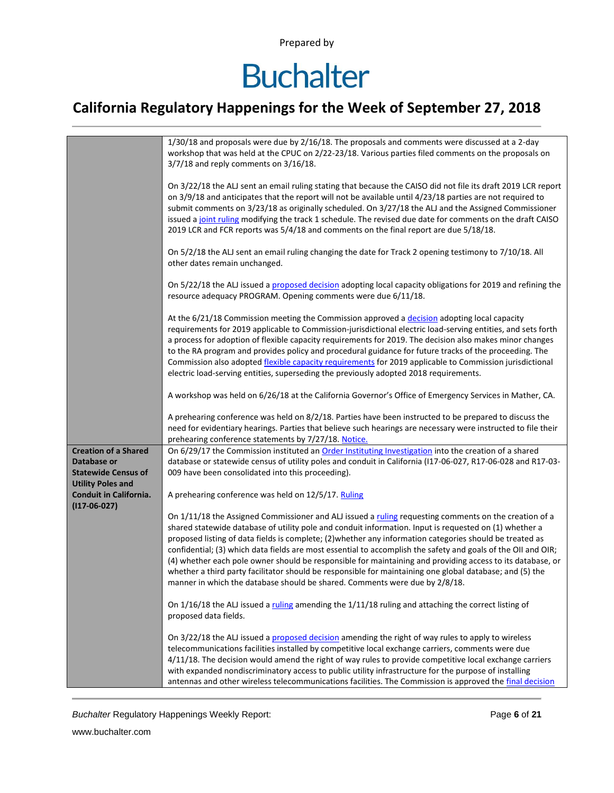## **Buchalter**

### **California Regulatory Happenings for the Week of September 27, 2018**

|                                                                                                      | 1/30/18 and proposals were due by 2/16/18. The proposals and comments were discussed at a 2-day<br>workshop that was held at the CPUC on 2/22-23/18. Various parties filed comments on the proposals on<br>3/7/18 and reply comments on 3/16/18.                                                                                                                                                                                                                                                                                                                                                                                                                                                                                                      |
|------------------------------------------------------------------------------------------------------|-------------------------------------------------------------------------------------------------------------------------------------------------------------------------------------------------------------------------------------------------------------------------------------------------------------------------------------------------------------------------------------------------------------------------------------------------------------------------------------------------------------------------------------------------------------------------------------------------------------------------------------------------------------------------------------------------------------------------------------------------------|
|                                                                                                      | On 3/22/18 the ALJ sent an email ruling stating that because the CAISO did not file its draft 2019 LCR report<br>on 3/9/18 and anticipates that the report will not be available until 4/23/18 parties are not required to<br>submit comments on 3/23/18 as originally scheduled. On 3/27/18 the ALJ and the Assigned Commissioner<br>issued a joint ruling modifying the track 1 schedule. The revised due date for comments on the draft CAISO<br>2019 LCR and FCR reports was 5/4/18 and comments on the final report are due 5/18/18.                                                                                                                                                                                                             |
|                                                                                                      | On 5/2/18 the ALJ sent an email ruling changing the date for Track 2 opening testimony to 7/10/18. All<br>other dates remain unchanged.                                                                                                                                                                                                                                                                                                                                                                                                                                                                                                                                                                                                               |
|                                                                                                      | On 5/22/18 the ALJ issued a proposed decision adopting local capacity obligations for 2019 and refining the<br>resource adequacy PROGRAM. Opening comments were due 6/11/18.                                                                                                                                                                                                                                                                                                                                                                                                                                                                                                                                                                          |
|                                                                                                      | At the 6/21/18 Commission meeting the Commission approved a decision adopting local capacity<br>requirements for 2019 applicable to Commission-jurisdictional electric load-serving entities, and sets forth<br>a process for adoption of flexible capacity requirements for 2019. The decision also makes minor changes<br>to the RA program and provides policy and procedural guidance for future tracks of the proceeding. The<br>Commission also adopted flexible capacity requirements for 2019 applicable to Commission jurisdictional<br>electric load-serving entities, superseding the previously adopted 2018 requirements.                                                                                                                |
|                                                                                                      | A workshop was held on 6/26/18 at the California Governor's Office of Emergency Services in Mather, CA.                                                                                                                                                                                                                                                                                                                                                                                                                                                                                                                                                                                                                                               |
|                                                                                                      | A prehearing conference was held on 8/2/18. Parties have been instructed to be prepared to discuss the<br>need for evidentiary hearings. Parties that believe such hearings are necessary were instructed to file their<br>prehearing conference statements by 7/27/18. Notice.                                                                                                                                                                                                                                                                                                                                                                                                                                                                       |
| <b>Creation of a Shared</b><br>Database or<br><b>Statewide Census of</b><br><b>Utility Poles and</b> | On 6/29/17 the Commission instituted an Order Instituting Investigation into the creation of a shared<br>database or statewide census of utility poles and conduit in California (I17-06-027, R17-06-028 and R17-03-<br>009 have been consolidated into this proceeding).                                                                                                                                                                                                                                                                                                                                                                                                                                                                             |
| Conduit in California.<br>$(117-06-027)$                                                             | A prehearing conference was held on 12/5/17. Ruling                                                                                                                                                                                                                                                                                                                                                                                                                                                                                                                                                                                                                                                                                                   |
|                                                                                                      | On 1/11/18 the Assigned Commissioner and ALJ issued a ruling requesting comments on the creation of a<br>shared statewide database of utility pole and conduit information. Input is requested on (1) whether a<br>proposed listing of data fields is complete; (2) whether any information categories should be treated as<br>confidential; (3) which data fields are most essential to accomplish the safety and goals of the OII and OIR;<br>(4) whether each pole owner should be responsible for maintaining and providing access to its database, or<br>whether a third party facilitator should be responsible for maintaining one global database; and (5) the<br>manner in which the database should be shared. Comments were due by 2/8/18. |
|                                                                                                      | On $1/16/18$ the ALJ issued a ruling amending the $1/11/18$ ruling and attaching the correct listing of<br>proposed data fields.                                                                                                                                                                                                                                                                                                                                                                                                                                                                                                                                                                                                                      |
|                                                                                                      | On 3/22/18 the ALJ issued a proposed decision amending the right of way rules to apply to wireless<br>telecommunications facilities installed by competitive local exchange carriers, comments were due<br>4/11/18. The decision would amend the right of way rules to provide competitive local exchange carriers<br>with expanded nondiscriminatory access to public utility infrastructure for the purpose of installing<br>antennas and other wireless telecommunications facilities. The Commission is approved the final decision                                                                                                                                                                                                               |

**Buchalter Regulatory Happenings Weekly Report:** Page 6 of 21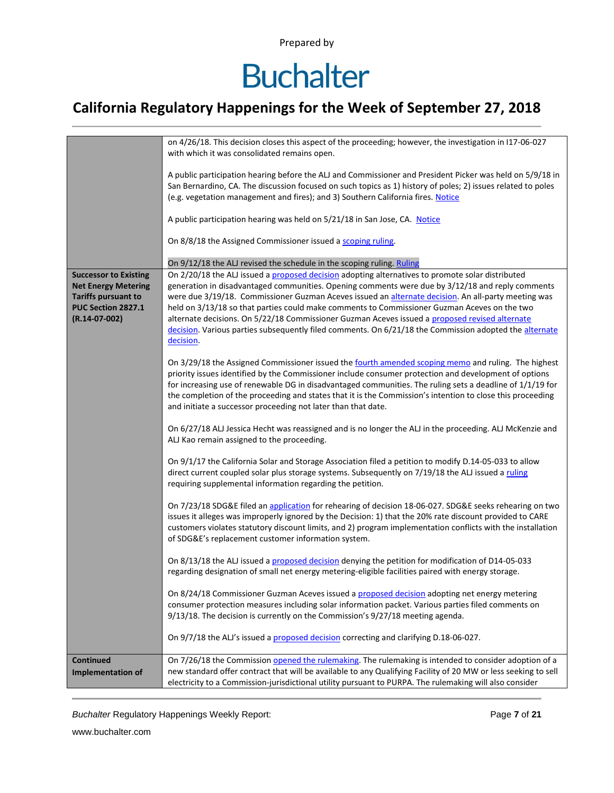## **Buchalter**

### **California Regulatory Happenings for the Week of September 27, 2018**

|                              | on 4/26/18. This decision closes this aspect of the proceeding; however, the investigation in I17-06-027       |
|------------------------------|----------------------------------------------------------------------------------------------------------------|
|                              | with which it was consolidated remains open.                                                                   |
|                              |                                                                                                                |
|                              | A public participation hearing before the ALJ and Commissioner and President Picker was held on 5/9/18 in      |
|                              | San Bernardino, CA. The discussion focused on such topics as 1) history of poles; 2) issues related to poles   |
|                              | (e.g. vegetation management and fires); and 3) Southern California fires. Notice                               |
|                              |                                                                                                                |
|                              | A public participation hearing was held on 5/21/18 in San Jose, CA. Notice                                     |
|                              |                                                                                                                |
|                              | On 8/8/18 the Assigned Commissioner issued a scoping ruling.                                                   |
|                              |                                                                                                                |
|                              | On 9/12/18 the ALJ revised the schedule in the scoping ruling. Ruling                                          |
| <b>Successor to Existing</b> | On 2/20/18 the ALJ issued a proposed decision adopting alternatives to promote solar distributed               |
| <b>Net Energy Metering</b>   | generation in disadvantaged communities. Opening comments were due by 3/12/18 and reply comments               |
| <b>Tariffs pursuant to</b>   | were due 3/19/18. Commissioner Guzman Aceves issued an alternate decision. An all-party meeting was            |
| PUC Section 2827.1           | held on 3/13/18 so that parties could make comments to Commissioner Guzman Aceves on the two                   |
| $(R.14-07-002)$              | alternate decisions. On 5/22/18 Commissioner Guzman Aceves issued a proposed revised alternate                 |
|                              | decision. Various parties subsequently filed comments. On 6/21/18 the Commission adopted the alternate         |
|                              | decision.                                                                                                      |
|                              |                                                                                                                |
|                              | On 3/29/18 the Assigned Commissioner issued the fourth amended scoping memo and ruling. The highest            |
|                              | priority issues identified by the Commissioner include consumer protection and development of options          |
|                              | for increasing use of renewable DG in disadvantaged communities. The ruling sets a deadline of 1/1/19 for      |
|                              | the completion of the proceeding and states that it is the Commission's intention to close this proceeding     |
|                              | and initiate a successor proceeding not later than that date.                                                  |
|                              |                                                                                                                |
|                              | On 6/27/18 ALJ Jessica Hecht was reassigned and is no longer the ALJ in the proceeding. ALJ McKenzie and       |
|                              | ALJ Kao remain assigned to the proceeding.                                                                     |
|                              |                                                                                                                |
|                              | On 9/1/17 the California Solar and Storage Association filed a petition to modify D.14-05-033 to allow         |
|                              | direct current coupled solar plus storage systems. Subsequently on 7/19/18 the ALJ issued a ruling             |
|                              | requiring supplemental information regarding the petition.                                                     |
|                              |                                                                                                                |
|                              | On 7/23/18 SDG&E filed an application for rehearing of decision 18-06-027. SDG&E seeks rehearing on two        |
|                              | issues it alleges was improperly ignored by the Decision: 1) that the 20% rate discount provided to CARE       |
|                              | customers violates statutory discount limits, and 2) program implementation conflicts with the installation    |
|                              | of SDG&E's replacement customer information system.                                                            |
|                              |                                                                                                                |
|                              | On 8/13/18 the ALJ issued a proposed decision denying the petition for modification of D14-05-033              |
|                              | regarding designation of small net energy metering-eligible facilities paired with energy storage.             |
|                              |                                                                                                                |
|                              | On 8/24/18 Commissioner Guzman Aceves issued a proposed decision adopting net energy metering                  |
|                              | consumer protection measures including solar information packet. Various parties filed comments on             |
|                              | 9/13/18. The decision is currently on the Commission's 9/27/18 meeting agenda.                                 |
|                              |                                                                                                                |
|                              | On 9/7/18 the ALJ's issued a proposed decision correcting and clarifying D.18-06-027.                          |
|                              |                                                                                                                |
| <b>Continued</b>             | On 7/26/18 the Commission opened the rulemaking. The rulemaking is intended to consider adoption of a          |
| <b>Implementation of</b>     | new standard offer contract that will be available to any Qualifying Facility of 20 MW or less seeking to sell |
|                              | electricity to a Commission-jurisdictional utility pursuant to PURPA. The rulemaking will also consider        |

**Buchalter Regulatory Happenings Weekly Report:** Page 7 of 21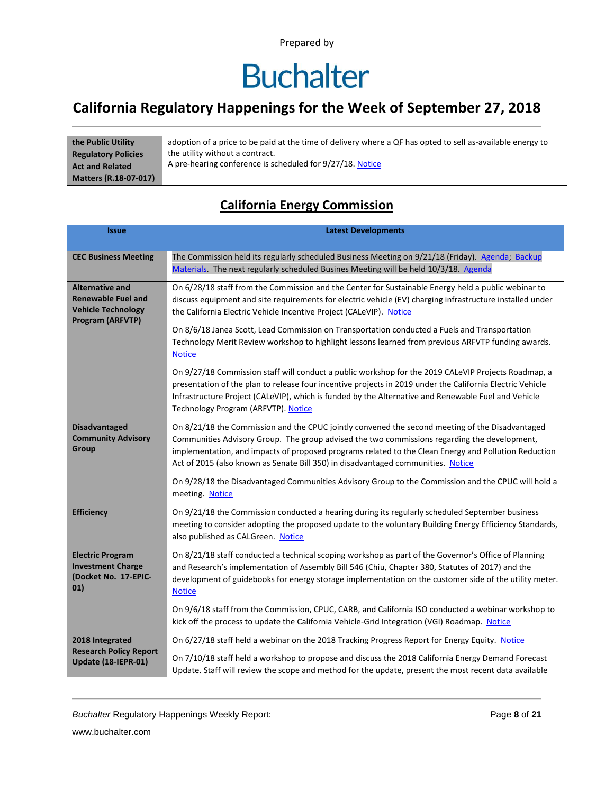# **Buchalter**

### **California Regulatory Happenings for the Week of September 27, 2018**

| the Public Utility           | adoption of a price to be paid at the time of delivery where a QF has opted to sell as-available energy to |
|------------------------------|------------------------------------------------------------------------------------------------------------|
| <b>Regulatory Policies</b>   | the utility without a contract.                                                                            |
| <b>Act and Related</b>       | A pre-hearing conference is scheduled for 9/27/18. Notice                                                  |
| <b>Matters (R.18-07-017)</b> |                                                                                                            |

#### **California Energy Commission**

| <b>Issue</b>                                                                                         | <b>Latest Developments</b>                                                                                                                                                                                                                                                                                                                                                                                                                                                                        |
|------------------------------------------------------------------------------------------------------|---------------------------------------------------------------------------------------------------------------------------------------------------------------------------------------------------------------------------------------------------------------------------------------------------------------------------------------------------------------------------------------------------------------------------------------------------------------------------------------------------|
| <b>CEC Business Meeting</b>                                                                          | The Commission held its regularly scheduled Business Meeting on 9/21/18 (Friday). Agenda; Backup<br>Materials. The next regularly scheduled Busines Meeting will be held 10/3/18. Agenda                                                                                                                                                                                                                                                                                                          |
| <b>Alternative and</b><br><b>Renewable Fuel and</b><br><b>Vehicle Technology</b><br>Program (ARFVTP) | On 6/28/18 staff from the Commission and the Center for Sustainable Energy held a public webinar to<br>discuss equipment and site requirements for electric vehicle (EV) charging infrastructure installed under<br>the California Electric Vehicle Incentive Project (CALeVIP). Notice                                                                                                                                                                                                           |
|                                                                                                      | On 8/6/18 Janea Scott, Lead Commission on Transportation conducted a Fuels and Transportation<br>Technology Merit Review workshop to highlight lessons learned from previous ARFVTP funding awards.<br><b>Notice</b>                                                                                                                                                                                                                                                                              |
|                                                                                                      | On 9/27/18 Commission staff will conduct a public workshop for the 2019 CALeVIP Projects Roadmap, a<br>presentation of the plan to release four incentive projects in 2019 under the California Electric Vehicle<br>Infrastructure Project (CALeVIP), which is funded by the Alternative and Renewable Fuel and Vehicle<br>Technology Program (ARFVTP). Notice                                                                                                                                    |
| <b>Disadvantaged</b><br><b>Community Advisory</b><br>Group                                           | On 8/21/18 the Commission and the CPUC jointly convened the second meeting of the Disadvantaged<br>Communities Advisory Group. The group advised the two commissions regarding the development,<br>implementation, and impacts of proposed programs related to the Clean Energy and Pollution Reduction<br>Act of 2015 (also known as Senate Bill 350) in disadvantaged communities. Notice<br>On 9/28/18 the Disadvantaged Communities Advisory Group to the Commission and the CPUC will hold a |
|                                                                                                      | meeting. Notice                                                                                                                                                                                                                                                                                                                                                                                                                                                                                   |
| <b>Efficiency</b>                                                                                    | On 9/21/18 the Commission conducted a hearing during its regularly scheduled September business<br>meeting to consider adopting the proposed update to the voluntary Building Energy Efficiency Standards,<br>also published as CALGreen. Notice                                                                                                                                                                                                                                                  |
| <b>Electric Program</b><br><b>Investment Charge</b><br>(Docket No. 17-EPIC-<br>01)                   | On 8/21/18 staff conducted a technical scoping workshop as part of the Governor's Office of Planning<br>and Research's implementation of Assembly Bill 546 (Chiu, Chapter 380, Statutes of 2017) and the<br>development of guidebooks for energy storage implementation on the customer side of the utility meter.<br><b>Notice</b>                                                                                                                                                               |
|                                                                                                      | On 9/6/18 staff from the Commission, CPUC, CARB, and California ISO conducted a webinar workshop to<br>kick off the process to update the California Vehicle-Grid Integration (VGI) Roadmap. Notice                                                                                                                                                                                                                                                                                               |
| 2018 Integrated<br><b>Research Policy Report</b>                                                     | On 6/27/18 staff held a webinar on the 2018 Tracking Progress Report for Energy Equity. Notice                                                                                                                                                                                                                                                                                                                                                                                                    |
| Update (18-IEPR-01)                                                                                  | On 7/10/18 staff held a workshop to propose and discuss the 2018 California Energy Demand Forecast<br>Update. Staff will review the scope and method for the update, present the most recent data available                                                                                                                                                                                                                                                                                       |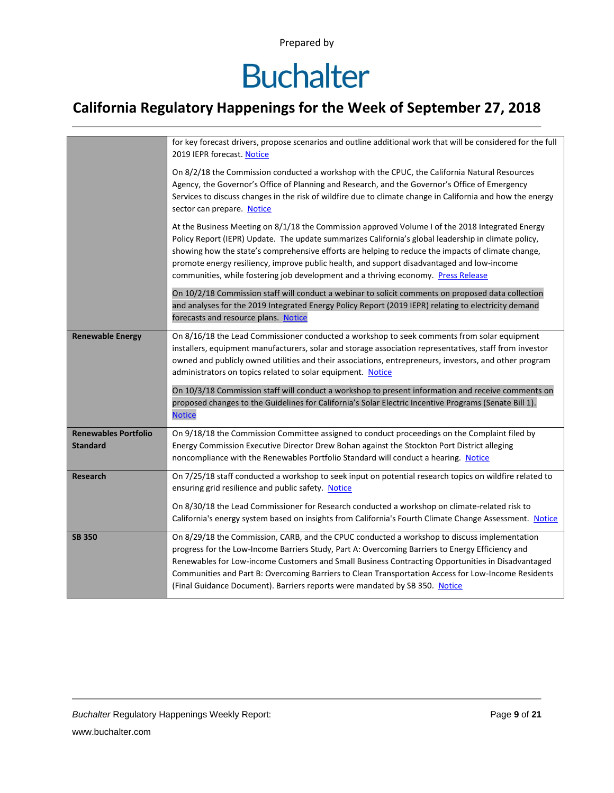# **Buchalter**

### **California Regulatory Happenings for the Week of September 27, 2018**

|                                                | for key forecast drivers, propose scenarios and outline additional work that will be considered for the full<br>2019 IEPR forecast. Notice                                                                                                                                                                                                                                                                                                                                                         |
|------------------------------------------------|----------------------------------------------------------------------------------------------------------------------------------------------------------------------------------------------------------------------------------------------------------------------------------------------------------------------------------------------------------------------------------------------------------------------------------------------------------------------------------------------------|
|                                                | On 8/2/18 the Commission conducted a workshop with the CPUC, the California Natural Resources<br>Agency, the Governor's Office of Planning and Research, and the Governor's Office of Emergency<br>Services to discuss changes in the risk of wildfire due to climate change in California and how the energy<br>sector can prepare. Notice                                                                                                                                                        |
|                                                | At the Business Meeting on 8/1/18 the Commission approved Volume I of the 2018 Integrated Energy<br>Policy Report (IEPR) Update. The update summarizes California's global leadership in climate policy,<br>showing how the state's comprehensive efforts are helping to reduce the impacts of climate change,<br>promote energy resiliency, improve public health, and support disadvantaged and low-income<br>communities, while fostering job development and a thriving economy. Press Release |
|                                                | On 10/2/18 Commission staff will conduct a webinar to solicit comments on proposed data collection<br>and analyses for the 2019 Integrated Energy Policy Report (2019 IEPR) relating to electricity demand<br>forecasts and resource plans. Notice                                                                                                                                                                                                                                                 |
| <b>Renewable Energy</b>                        | On 8/16/18 the Lead Commissioner conducted a workshop to seek comments from solar equipment<br>installers, equipment manufacturers, solar and storage association representatives, staff from investor<br>owned and publicly owned utilities and their associations, entrepreneurs, investors, and other program<br>administrators on topics related to solar equipment. Notice                                                                                                                    |
|                                                | On 10/3/18 Commission staff will conduct a workshop to present information and receive comments on<br>proposed changes to the Guidelines for California's Solar Electric Incentive Programs (Senate Bill 1).<br><b>Notice</b>                                                                                                                                                                                                                                                                      |
| <b>Renewables Portfolio</b><br><b>Standard</b> | On 9/18/18 the Commission Committee assigned to conduct proceedings on the Complaint filed by<br>Energy Commission Executive Director Drew Bohan against the Stockton Port District alleging<br>noncompliance with the Renewables Portfolio Standard will conduct a hearing. Notice                                                                                                                                                                                                                |
| <b>Research</b>                                | On 7/25/18 staff conducted a workshop to seek input on potential research topics on wildfire related to<br>ensuring grid resilience and public safety. Notice                                                                                                                                                                                                                                                                                                                                      |
|                                                | On 8/30/18 the Lead Commissioner for Research conducted a workshop on climate-related risk to<br>California's energy system based on insights from California's Fourth Climate Change Assessment. Notice                                                                                                                                                                                                                                                                                           |
| <b>SB 350</b>                                  | On 8/29/18 the Commission, CARB, and the CPUC conducted a workshop to discuss implementation<br>progress for the Low-Income Barriers Study, Part A: Overcoming Barriers to Energy Efficiency and<br>Renewables for Low-income Customers and Small Business Contracting Opportunities in Disadvantaged<br>Communities and Part B: Overcoming Barriers to Clean Transportation Access for Low-Income Residents<br>(Final Guidance Document). Barriers reports were mandated by SB 350. Notice        |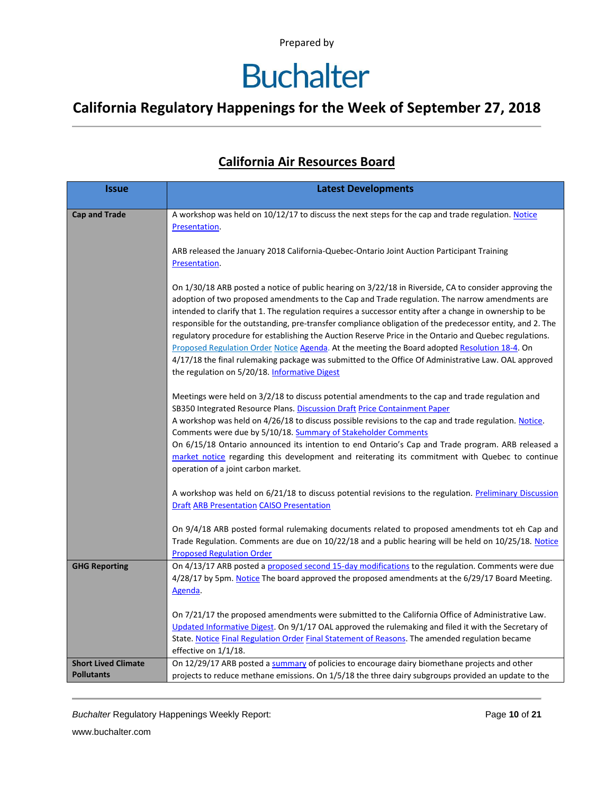# **Buchalter**

### **California Regulatory Happenings for the Week of September 27, 2018**

#### **California Air Resources Board**

| <b>Issue</b>                                    | <b>Latest Developments</b>                                                                                                                                                                                                                                                                                                                                                                                                                                                                                                                                                                                                                                                                                                                                                                            |
|-------------------------------------------------|-------------------------------------------------------------------------------------------------------------------------------------------------------------------------------------------------------------------------------------------------------------------------------------------------------------------------------------------------------------------------------------------------------------------------------------------------------------------------------------------------------------------------------------------------------------------------------------------------------------------------------------------------------------------------------------------------------------------------------------------------------------------------------------------------------|
| <b>Cap and Trade</b>                            | A workshop was held on 10/12/17 to discuss the next steps for the cap and trade regulation. Notice<br>Presentation.                                                                                                                                                                                                                                                                                                                                                                                                                                                                                                                                                                                                                                                                                   |
|                                                 | ARB released the January 2018 California-Quebec-Ontario Joint Auction Participant Training<br>Presentation.                                                                                                                                                                                                                                                                                                                                                                                                                                                                                                                                                                                                                                                                                           |
|                                                 | On 1/30/18 ARB posted a notice of public hearing on 3/22/18 in Riverside, CA to consider approving the<br>adoption of two proposed amendments to the Cap and Trade regulation. The narrow amendments are<br>intended to clarify that 1. The regulation requires a successor entity after a change in ownership to be<br>responsible for the outstanding, pre-transfer compliance obligation of the predecessor entity, and 2. The<br>regulatory procedure for establishing the Auction Reserve Price in the Ontario and Quebec regulations.<br>Proposed Regulation Order Notice Agenda. At the meeting the Board adopted Resolution 18-4. On<br>4/17/18 the final rulemaking package was submitted to the Office Of Administrative Law. OAL approved<br>the regulation on 5/20/18. Informative Digest |
|                                                 | Meetings were held on 3/2/18 to discuss potential amendments to the cap and trade regulation and<br>SB350 Integrated Resource Plans. Discussion Draft Price Containment Paper<br>A workshop was held on 4/26/18 to discuss possible revisions to the cap and trade regulation. Notice.<br>Comments were due by 5/10/18. Summary of Stakeholder Comments<br>On 6/15/18 Ontario announced its intention to end Ontario's Cap and Trade program. ARB released a<br>market notice regarding this development and reiterating its commitment with Quebec to continue<br>operation of a joint carbon market.                                                                                                                                                                                                |
|                                                 | A workshop was held on 6/21/18 to discuss potential revisions to the regulation. Preliminary Discussion<br><b>Draft ARB Presentation CAISO Presentation</b>                                                                                                                                                                                                                                                                                                                                                                                                                                                                                                                                                                                                                                           |
|                                                 | On 9/4/18 ARB posted formal rulemaking documents related to proposed amendments tot eh Cap and<br>Trade Regulation. Comments are due on 10/22/18 and a public hearing will be held on 10/25/18. Notice<br><b>Proposed Regulation Order</b>                                                                                                                                                                                                                                                                                                                                                                                                                                                                                                                                                            |
| <b>GHG Reporting</b>                            | On 4/13/17 ARB posted a proposed second 15-day modifications to the regulation. Comments were due<br>4/28/17 by 5pm. Notice The board approved the proposed amendments at the 6/29/17 Board Meeting.<br>Agenda.                                                                                                                                                                                                                                                                                                                                                                                                                                                                                                                                                                                       |
|                                                 | On 7/21/17 the proposed amendments were submitted to the California Office of Administrative Law.<br>Updated Informative Digest. On 9/1/17 OAL approved the rulemaking and filed it with the Secretary of<br>State. Notice Final Regulation Order Final Statement of Reasons. The amended regulation became<br>effective on $1/1/18$ .                                                                                                                                                                                                                                                                                                                                                                                                                                                                |
| <b>Short Lived Climate</b><br><b>Pollutants</b> | On 12/29/17 ARB posted a summary of policies to encourage dairy biomethane projects and other<br>projects to reduce methane emissions. On 1/5/18 the three dairy subgroups provided an update to the                                                                                                                                                                                                                                                                                                                                                                                                                                                                                                                                                                                                  |

*Buchalter* Regulatory Happenings Weekly Report: Page **10** of **21**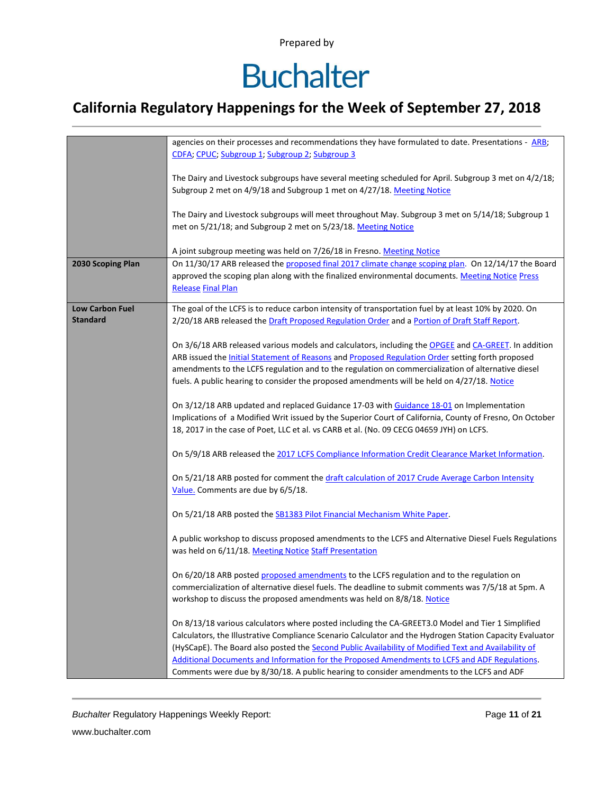# **Buchalter**

### **California Regulatory Happenings for the Week of September 27, 2018**

|                        | agencies on their processes and recommendations they have formulated to date. Presentations - ARB;             |
|------------------------|----------------------------------------------------------------------------------------------------------------|
|                        | CDFA; CPUC; Subgroup 1; Subgroup 2; Subgroup 3                                                                 |
|                        |                                                                                                                |
|                        |                                                                                                                |
|                        | The Dairy and Livestock subgroups have several meeting scheduled for April. Subgroup 3 met on 4/2/18;          |
|                        | Subgroup 2 met on 4/9/18 and Subgroup 1 met on 4/27/18. Meeting Notice                                         |
|                        |                                                                                                                |
|                        | The Dairy and Livestock subgroups will meet throughout May. Subgroup 3 met on 5/14/18; Subgroup 1              |
|                        | met on 5/21/18; and Subgroup 2 met on 5/23/18. Meeting Notice                                                  |
|                        |                                                                                                                |
|                        |                                                                                                                |
|                        | A joint subgroup meeting was held on 7/26/18 in Fresno. Meeting Notice                                         |
| 2030 Scoping Plan      | On 11/30/17 ARB released the proposed final 2017 climate change scoping plan. On 12/14/17 the Board            |
|                        | approved the scoping plan along with the finalized environmental documents. Meeting Notice Press               |
|                        | <b>Release Final Plan</b>                                                                                      |
|                        |                                                                                                                |
|                        |                                                                                                                |
| <b>Low Carbon Fuel</b> | The goal of the LCFS is to reduce carbon intensity of transportation fuel by at least 10% by 2020. On          |
| <b>Standard</b>        | 2/20/18 ARB released the Draft Proposed Regulation Order and a Portion of Draft Staff Report.                  |
|                        |                                                                                                                |
|                        | On 3/6/18 ARB released various models and calculators, including the OPGEE and CA-GREET. In addition           |
|                        | ARB issued the <b>Initial Statement of Reasons</b> and <b>Proposed Regulation Order</b> setting forth proposed |
|                        |                                                                                                                |
|                        | amendments to the LCFS regulation and to the regulation on commercialization of alternative diesel             |
|                        | fuels. A public hearing to consider the proposed amendments will be held on 4/27/18. Notice                    |
|                        |                                                                                                                |
|                        | On 3/12/18 ARB updated and replaced Guidance 17-03 with Guidance 18-01 on Implementation                       |
|                        | Implications of a Modified Writ issued by the Superior Court of California, County of Fresno, On October       |
|                        | 18, 2017 in the case of Poet, LLC et al. vs CARB et al. (No. 09 CECG 04659 JYH) on LCFS.                       |
|                        |                                                                                                                |
|                        |                                                                                                                |
|                        | On 5/9/18 ARB released the 2017 LCFS Compliance Information Credit Clearance Market Information.               |
|                        |                                                                                                                |
|                        | On 5/21/18 ARB posted for comment the draft calculation of 2017 Crude Average Carbon Intensity                 |
|                        | Value. Comments are due by 6/5/18.                                                                             |
|                        |                                                                                                                |
|                        |                                                                                                                |
|                        | On 5/21/18 ARB posted the SB1383 Pilot Financial Mechanism White Paper.                                        |
|                        |                                                                                                                |
|                        | A public workshop to discuss proposed amendments to the LCFS and Alternative Diesel Fuels Regulations          |
|                        | was held on 6/11/18. Meeting Notice Staff Presentation                                                         |
|                        |                                                                                                                |
|                        | On 6/20/18 ARB posted proposed amendments to the LCFS regulation and to the regulation on                      |
|                        |                                                                                                                |
|                        | commercialization of alternative diesel fuels. The deadline to submit comments was 7/5/18 at 5pm. A            |
|                        | workshop to discuss the proposed amendments was held on 8/8/18. Notice                                         |
|                        |                                                                                                                |
|                        | On 8/13/18 various calculators where posted including the CA-GREET3.0 Model and Tier 1 Simplified              |
|                        | Calculators, the Illustrative Compliance Scenario Calculator and the Hydrogen Station Capacity Evaluator       |
|                        |                                                                                                                |
|                        | (HySCapE). The Board also posted the Second Public Availability of Modified Text and Availability of           |
|                        | Additional Documents and Information for the Proposed Amendments to LCFS and ADF Regulations.                  |
|                        | Comments were due by 8/30/18. A public hearing to consider amendments to the LCFS and ADF                      |

**Buchalter Regulatory Happenings Weekly Report:** Page 11 of 21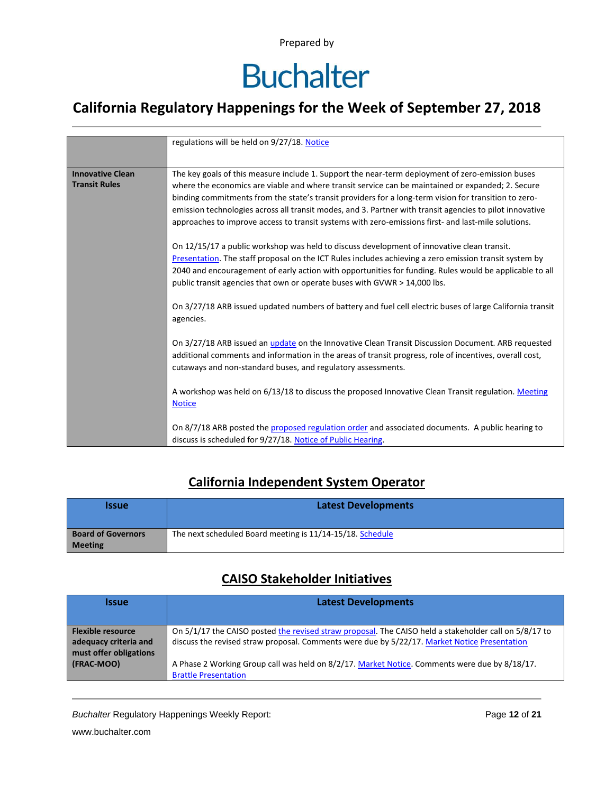# **Buchalter**

### **California Regulatory Happenings for the Week of September 27, 2018**

|                         | regulations will be held on 9/27/18. Notice                                                               |  |  |  |  |  |
|-------------------------|-----------------------------------------------------------------------------------------------------------|--|--|--|--|--|
|                         |                                                                                                           |  |  |  |  |  |
|                         |                                                                                                           |  |  |  |  |  |
| <b>Innovative Clean</b> | The key goals of this measure include 1. Support the near-term deployment of zero-emission buses          |  |  |  |  |  |
| <b>Transit Rules</b>    | where the economics are viable and where transit service can be maintained or expanded; 2. Secure         |  |  |  |  |  |
|                         | binding commitments from the state's transit providers for a long-term vision for transition to zero-     |  |  |  |  |  |
|                         | emission technologies across all transit modes, and 3. Partner with transit agencies to pilot innovative  |  |  |  |  |  |
|                         | approaches to improve access to transit systems with zero-emissions first- and last-mile solutions.       |  |  |  |  |  |
|                         |                                                                                                           |  |  |  |  |  |
|                         |                                                                                                           |  |  |  |  |  |
|                         | On 12/15/17 a public workshop was held to discuss development of innovative clean transit.                |  |  |  |  |  |
|                         | Presentation. The staff proposal on the ICT Rules includes achieving a zero emission transit system by    |  |  |  |  |  |
|                         | 2040 and encouragement of early action with opportunities for funding. Rules would be applicable to all   |  |  |  |  |  |
|                         | public transit agencies that own or operate buses with GVWR > 14,000 lbs.                                 |  |  |  |  |  |
|                         |                                                                                                           |  |  |  |  |  |
|                         |                                                                                                           |  |  |  |  |  |
|                         | On 3/27/18 ARB issued updated numbers of battery and fuel cell electric buses of large California transit |  |  |  |  |  |
|                         | agencies.                                                                                                 |  |  |  |  |  |
|                         |                                                                                                           |  |  |  |  |  |
|                         | On 3/27/18 ARB issued an update on the Innovative Clean Transit Discussion Document. ARB requested        |  |  |  |  |  |
|                         | additional comments and information in the areas of transit progress, role of incentives, overall cost,   |  |  |  |  |  |
|                         | cutaways and non-standard buses, and regulatory assessments.                                              |  |  |  |  |  |
|                         |                                                                                                           |  |  |  |  |  |
|                         |                                                                                                           |  |  |  |  |  |
|                         | A workshop was held on 6/13/18 to discuss the proposed Innovative Clean Transit regulation. Meeting       |  |  |  |  |  |
|                         | <b>Notice</b>                                                                                             |  |  |  |  |  |
|                         |                                                                                                           |  |  |  |  |  |
|                         | On 8/7/18 ARB posted the proposed regulation order and associated documents. A public hearing to          |  |  |  |  |  |
|                         | discuss is scheduled for 9/27/18. Notice of Public Hearing.                                               |  |  |  |  |  |
|                         |                                                                                                           |  |  |  |  |  |

#### **California Independent System Operator**

| <b>Issue</b>                                | <b>Latest Developments</b>                                |
|---------------------------------------------|-----------------------------------------------------------|
| <b>Board of Governors</b><br><b>Meeting</b> | The next scheduled Board meeting is 11/14-15/18. Schedule |

#### **CAISO Stakeholder Initiatives**

| <i><u><b>Issue</b></u></i>                                                  | <b>Latest Developments</b>                                                                                                                                                                            |
|-----------------------------------------------------------------------------|-------------------------------------------------------------------------------------------------------------------------------------------------------------------------------------------------------|
| <b>Flexible resource</b><br>adequacy criteria and<br>must offer obligations | On 5/1/17 the CAISO posted the revised straw proposal. The CAISO held a stakeholder call on 5/8/17 to<br>discuss the revised straw proposal. Comments were due by 5/22/17. Market Notice Presentation |
| (FRAC-MOO)                                                                  | A Phase 2 Working Group call was held on 8/2/17. Market Notice. Comments were due by 8/18/17.<br><b>Brattle Presentation</b>                                                                          |

**Buchalter Regulatory Happenings Weekly Report:** Page 12 of 21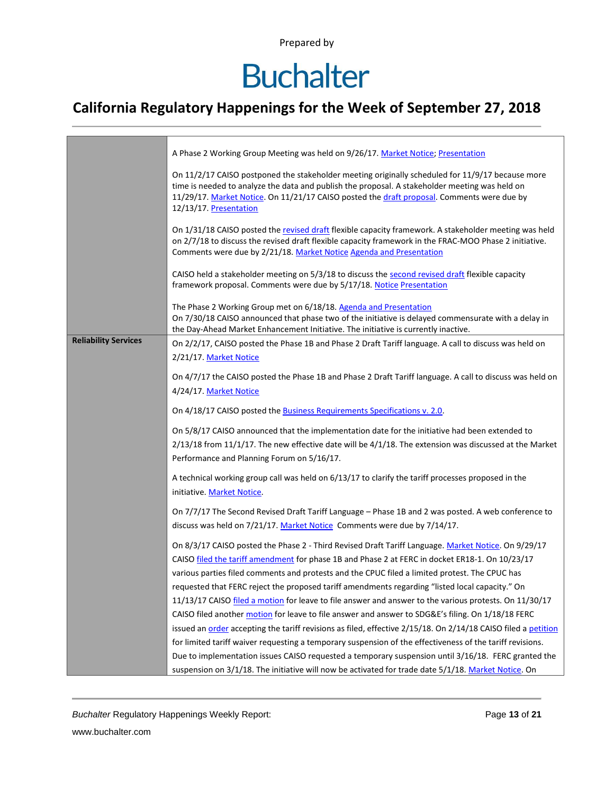# **Buchalter**

### **California Regulatory Happenings for the Week of September 27, 2018**

| A Phase 2 Working Group Meeting was held on 9/26/17. Market Notice; Presentation                                                                                                                                                                                                                                           |  |  |  |  |  |
|----------------------------------------------------------------------------------------------------------------------------------------------------------------------------------------------------------------------------------------------------------------------------------------------------------------------------|--|--|--|--|--|
| On 11/2/17 CAISO postponed the stakeholder meeting originally scheduled for 11/9/17 because more<br>time is needed to analyze the data and publish the proposal. A stakeholder meeting was held on<br>11/29/17. Market Notice. On 11/21/17 CAISO posted the draft proposal. Comments were due by<br>12/13/17. Presentation |  |  |  |  |  |
| On 1/31/18 CAISO posted the revised draft flexible capacity framework. A stakeholder meeting was held<br>on 2/7/18 to discuss the revised draft flexible capacity framework in the FRAC-MOO Phase 2 initiative.<br>Comments were due by 2/21/18. Market Notice Agenda and Presentation                                     |  |  |  |  |  |
| CAISO held a stakeholder meeting on 5/3/18 to discuss the second revised draft flexible capacity<br>framework proposal. Comments were due by 5/17/18. Notice Presentation                                                                                                                                                  |  |  |  |  |  |
| The Phase 2 Working Group met on 6/18/18. Agenda and Presentation<br>On 7/30/18 CAISO announced that phase two of the initiative is delayed commensurate with a delay in<br>the Day-Ahead Market Enhancement Initiative. The initiative is currently inactive.                                                             |  |  |  |  |  |
| On 2/2/17, CAISO posted the Phase 1B and Phase 2 Draft Tariff language. A call to discuss was held on<br>2/21/17. Market Notice                                                                                                                                                                                            |  |  |  |  |  |
| On 4/7/17 the CAISO posted the Phase 1B and Phase 2 Draft Tariff language. A call to discuss was held on<br>4/24/17. Market Notice                                                                                                                                                                                         |  |  |  |  |  |
| On 4/18/17 CAISO posted the <b>Business Requirements Specifications v. 2.0</b> .                                                                                                                                                                                                                                           |  |  |  |  |  |
| On 5/8/17 CAISO announced that the implementation date for the initiative had been extended to<br>$2/13/18$ from 11/1/17. The new effective date will be $4/1/18$ . The extension was discussed at the Market<br>Performance and Planning Forum on 5/16/17.                                                                |  |  |  |  |  |
| A technical working group call was held on 6/13/17 to clarify the tariff processes proposed in the<br>initiative. Market Notice.                                                                                                                                                                                           |  |  |  |  |  |
| On 7/7/17 The Second Revised Draft Tariff Language - Phase 1B and 2 was posted. A web conference to<br>discuss was held on 7/21/17. Market Notice Comments were due by 7/14/17.                                                                                                                                            |  |  |  |  |  |
| On 8/3/17 CAISO posted the Phase 2 - Third Revised Draft Tariff Language. Market Notice. On 9/29/17<br>CAISO filed the tariff amendment for phase 1B and Phase 2 at FERC in docket ER18-1. On 10/23/17                                                                                                                     |  |  |  |  |  |
| various parties filed comments and protests and the CPUC filed a limited protest. The CPUC has<br>requested that FERC reject the proposed tariff amendments regarding "listed local capacity." On                                                                                                                          |  |  |  |  |  |
| 11/13/17 CAISO filed a motion for leave to file answer and answer to the various protests. On 11/30/17                                                                                                                                                                                                                     |  |  |  |  |  |
| CAISO filed another motion for leave to file answer and answer to SDG&E's filing. On 1/18/18 FERC                                                                                                                                                                                                                          |  |  |  |  |  |
| issued an order accepting the tariff revisions as filed, effective 2/15/18. On 2/14/18 CAISO filed a petition                                                                                                                                                                                                              |  |  |  |  |  |
| for limited tariff waiver requesting a temporary suspension of the effectiveness of the tariff revisions.                                                                                                                                                                                                                  |  |  |  |  |  |
| Due to implementation issues CAISO requested a temporary suspension until 3/16/18. FERC granted the<br>suspension on 3/1/18. The initiative will now be activated for trade date 5/1/18. Market Notice. On                                                                                                                 |  |  |  |  |  |
|                                                                                                                                                                                                                                                                                                                            |  |  |  |  |  |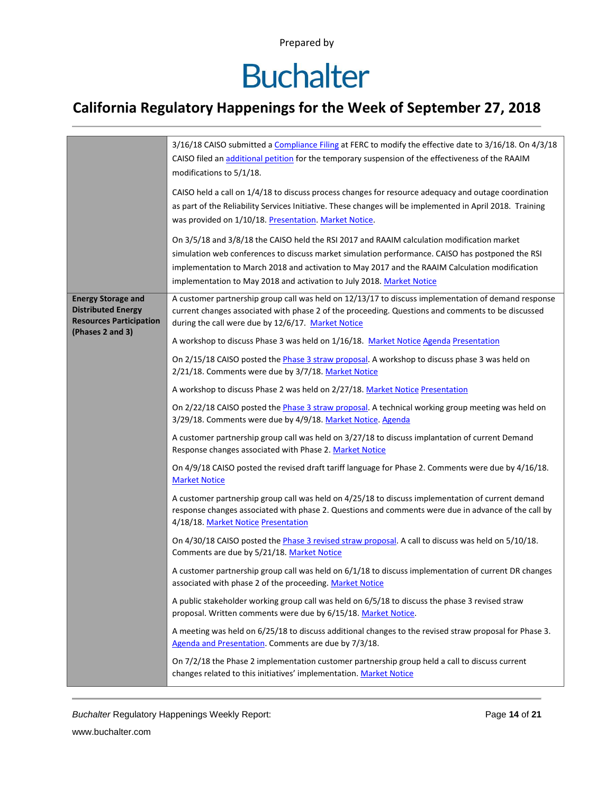# **Buchalter**

### **California Regulatory Happenings for the Week of September 27, 2018**

|                                                                                          | 3/16/18 CAISO submitted a Compliance Filing at FERC to modify the effective date to 3/16/18. On 4/3/18<br>CAISO filed an additional petition for the temporary suspension of the effectiveness of the RAAIM<br>modifications to 5/1/18.                                                                                                                                   |  |  |  |
|------------------------------------------------------------------------------------------|---------------------------------------------------------------------------------------------------------------------------------------------------------------------------------------------------------------------------------------------------------------------------------------------------------------------------------------------------------------------------|--|--|--|
|                                                                                          | CAISO held a call on 1/4/18 to discuss process changes for resource adequacy and outage coordination<br>as part of the Reliability Services Initiative. These changes will be implemented in April 2018. Training<br>was provided on 1/10/18. Presentation. Market Notice.                                                                                                |  |  |  |
|                                                                                          | On 3/5/18 and 3/8/18 the CAISO held the RSI 2017 and RAAIM calculation modification market<br>simulation web conferences to discuss market simulation performance. CAISO has postponed the RSI<br>implementation to March 2018 and activation to May 2017 and the RAAIM Calculation modification<br>implementation to May 2018 and activation to July 2018. Market Notice |  |  |  |
| <b>Energy Storage and</b><br><b>Distributed Energy</b><br><b>Resources Participation</b> | A customer partnership group call was held on 12/13/17 to discuss implementation of demand response<br>current changes associated with phase 2 of the proceeding. Questions and comments to be discussed<br>during the call were due by 12/6/17. Market Notice                                                                                                            |  |  |  |
| (Phases 2 and 3)                                                                         | A workshop to discuss Phase 3 was held on 1/16/18. Market Notice Agenda Presentation                                                                                                                                                                                                                                                                                      |  |  |  |
|                                                                                          | On 2/15/18 CAISO posted the <i>Phase 3 straw proposal</i> . A workshop to discuss phase 3 was held on<br>2/21/18. Comments were due by 3/7/18. Market Notice                                                                                                                                                                                                              |  |  |  |
|                                                                                          | A workshop to discuss Phase 2 was held on 2/27/18. Market Notice Presentation                                                                                                                                                                                                                                                                                             |  |  |  |
|                                                                                          | On 2/22/18 CAISO posted the Phase 3 straw proposal. A technical working group meeting was held on<br>3/29/18. Comments were due by 4/9/18. Market Notice. Agenda                                                                                                                                                                                                          |  |  |  |
|                                                                                          | A customer partnership group call was held on 3/27/18 to discuss implantation of current Demand<br>Response changes associated with Phase 2. Market Notice                                                                                                                                                                                                                |  |  |  |
|                                                                                          | On 4/9/18 CAISO posted the revised draft tariff language for Phase 2. Comments were due by 4/16/18.<br><b>Market Notice</b>                                                                                                                                                                                                                                               |  |  |  |
|                                                                                          | A customer partnership group call was held on 4/25/18 to discuss implementation of current demand<br>response changes associated with phase 2. Questions and comments were due in advance of the call by<br>4/18/18. Market Notice Presentation                                                                                                                           |  |  |  |
|                                                                                          | On 4/30/18 CAISO posted the <i>Phase 3 revised straw proposal</i> . A call to discuss was held on 5/10/18.<br>Comments are due by 5/21/18. Market Notice                                                                                                                                                                                                                  |  |  |  |
|                                                                                          | A customer partnership group call was held on 6/1/18 to discuss implementation of current DR changes<br>associated with phase 2 of the proceeding. Market Notice                                                                                                                                                                                                          |  |  |  |
|                                                                                          | A public stakeholder working group call was held on 6/5/18 to discuss the phase 3 revised straw<br>proposal. Written comments were due by 6/15/18. Market Notice.                                                                                                                                                                                                         |  |  |  |
|                                                                                          | A meeting was held on 6/25/18 to discuss additional changes to the revised straw proposal for Phase 3.<br>Agenda and Presentation. Comments are due by 7/3/18.                                                                                                                                                                                                            |  |  |  |
|                                                                                          | On 7/2/18 the Phase 2 implementation customer partnership group held a call to discuss current<br>changes related to this initiatives' implementation. Market Notice                                                                                                                                                                                                      |  |  |  |

*Buchalter* Regulatory Happenings Weekly Report: Page **14** of **21**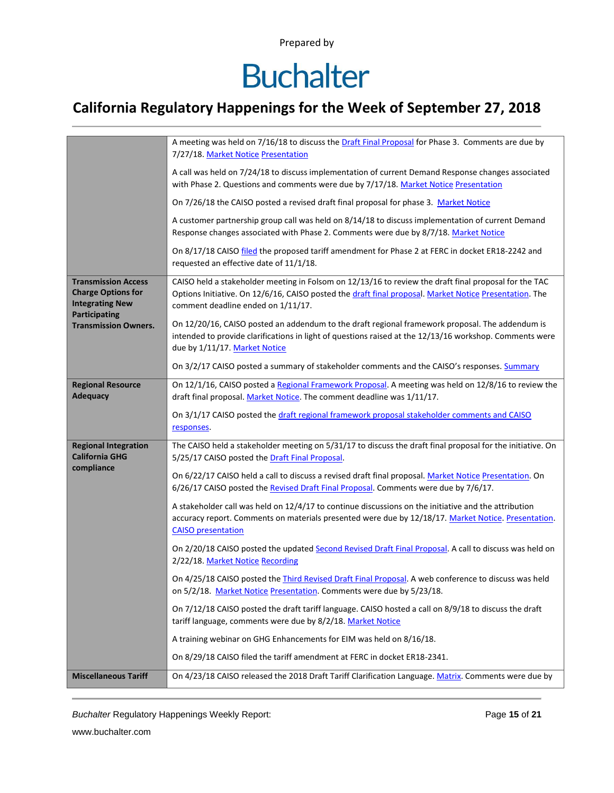## **Buchalter**

### **California Regulatory Happenings for the Week of September 27, 2018**

|                                                                                                           | A meeting was held on 7/16/18 to discuss the Draft Final Proposal for Phase 3. Comments are due by<br>7/27/18. Market Notice Presentation                                                                                                             |  |  |  |  |  |
|-----------------------------------------------------------------------------------------------------------|-------------------------------------------------------------------------------------------------------------------------------------------------------------------------------------------------------------------------------------------------------|--|--|--|--|--|
|                                                                                                           | A call was held on 7/24/18 to discuss implementation of current Demand Response changes associated<br>with Phase 2. Questions and comments were due by 7/17/18. Market Notice Presentation                                                            |  |  |  |  |  |
|                                                                                                           | On 7/26/18 the CAISO posted a revised draft final proposal for phase 3. Market Notice                                                                                                                                                                 |  |  |  |  |  |
|                                                                                                           | A customer partnership group call was held on 8/14/18 to discuss implementation of current Demand<br>Response changes associated with Phase 2. Comments were due by 8/7/18. Market Notice                                                             |  |  |  |  |  |
|                                                                                                           | On 8/17/18 CAISO filed the proposed tariff amendment for Phase 2 at FERC in docket ER18-2242 and<br>requested an effective date of 11/1/18.                                                                                                           |  |  |  |  |  |
| <b>Transmission Access</b><br><b>Charge Options for</b><br><b>Integrating New</b><br><b>Participating</b> | CAISO held a stakeholder meeting in Folsom on 12/13/16 to review the draft final proposal for the TAC<br>Options Initiative. On 12/6/16, CAISO posted the draft final proposal. Market Notice Presentation. The<br>comment deadline ended on 1/11/17. |  |  |  |  |  |
| <b>Transmission Owners.</b>                                                                               | On 12/20/16, CAISO posted an addendum to the draft regional framework proposal. The addendum is<br>intended to provide clarifications in light of questions raised at the 12/13/16 workshop. Comments were<br>due by 1/11/17. Market Notice           |  |  |  |  |  |
|                                                                                                           | On 3/2/17 CAISO posted a summary of stakeholder comments and the CAISO's responses. Summary                                                                                                                                                           |  |  |  |  |  |
| <b>Regional Resource</b><br><b>Adequacy</b>                                                               | On 12/1/16, CAISO posted a Regional Framework Proposal. A meeting was held on 12/8/16 to review the<br>draft final proposal. Market Notice. The comment deadline was 1/11/17.                                                                         |  |  |  |  |  |
|                                                                                                           | On 3/1/17 CAISO posted the draft regional framework proposal stakeholder comments and CAISO<br>responses.                                                                                                                                             |  |  |  |  |  |
| <b>Regional Integration</b><br><b>California GHG</b>                                                      | The CAISO held a stakeholder meeting on 5/31/17 to discuss the draft final proposal for the initiative. On<br>5/25/17 CAISO posted the Draft Final Proposal.                                                                                          |  |  |  |  |  |
| compliance                                                                                                | On 6/22/17 CAISO held a call to discuss a revised draft final proposal. Market Notice Presentation. On<br>6/26/17 CAISO posted the Revised Draft Final Proposal. Comments were due by 7/6/17.                                                         |  |  |  |  |  |
|                                                                                                           | A stakeholder call was held on 12/4/17 to continue discussions on the initiative and the attribution<br>accuracy report. Comments on materials presented were due by 12/18/17. Market Notice. Presentation.<br><b>CAISO</b> presentation              |  |  |  |  |  |
|                                                                                                           | On 2/20/18 CAISO posted the updated Second Revised Draft Final Proposal. A call to discuss was held on<br>2/22/18. Market Notice Recording                                                                                                            |  |  |  |  |  |
|                                                                                                           | On 4/25/18 CAISO posted the <i>Third Revised Draft Final Proposal</i> . A web conference to discuss was held<br>on 5/2/18. Market Notice Presentation. Comments were due by 5/23/18.                                                                  |  |  |  |  |  |
|                                                                                                           | On 7/12/18 CAISO posted the draft tariff language. CAISO hosted a call on 8/9/18 to discuss the draft<br>tariff language, comments were due by 8/2/18. Market Notice                                                                                  |  |  |  |  |  |
|                                                                                                           | A training webinar on GHG Enhancements for EIM was held on 8/16/18.                                                                                                                                                                                   |  |  |  |  |  |
|                                                                                                           | On 8/29/18 CAISO filed the tariff amendment at FERC in docket ER18-2341.                                                                                                                                                                              |  |  |  |  |  |
| <b>Miscellaneous Tariff</b>                                                                               | On 4/23/18 CAISO released the 2018 Draft Tariff Clarification Language. Matrix. Comments were due by                                                                                                                                                  |  |  |  |  |  |

*Buchalter* Regulatory Happenings Weekly Report: Page **15** of **21**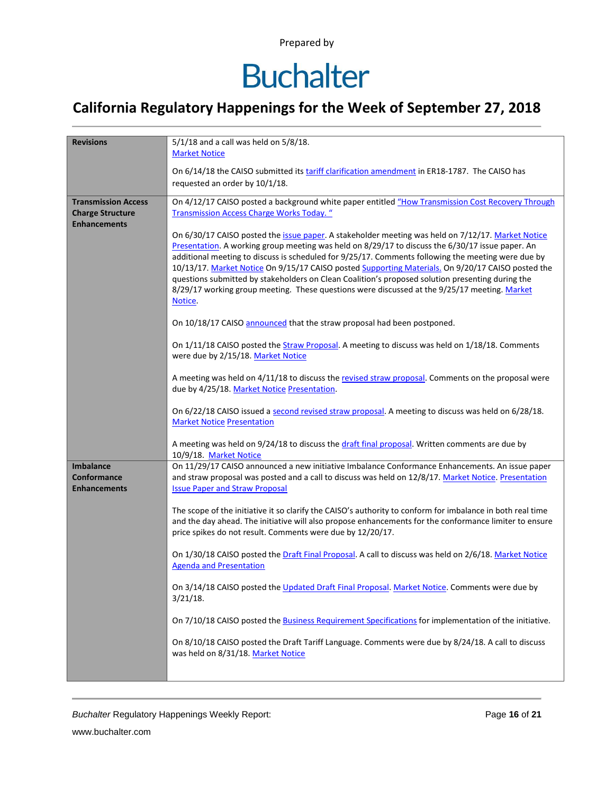## **Buchalter**

### **California Regulatory Happenings for the Week of September 27, 2018**

| <b>Revisions</b>                                                             | $5/1/18$ and a call was held on $5/8/18$ .                                                                                                                                                                                                                                                                                                                                                                                                                                                                                                                                                                                      |  |  |  |
|------------------------------------------------------------------------------|---------------------------------------------------------------------------------------------------------------------------------------------------------------------------------------------------------------------------------------------------------------------------------------------------------------------------------------------------------------------------------------------------------------------------------------------------------------------------------------------------------------------------------------------------------------------------------------------------------------------------------|--|--|--|
|                                                                              | <b>Market Notice</b>                                                                                                                                                                                                                                                                                                                                                                                                                                                                                                                                                                                                            |  |  |  |
|                                                                              | On 6/14/18 the CAISO submitted its tariff clarification amendment in ER18-1787. The CAISO has<br>requested an order by 10/1/18.                                                                                                                                                                                                                                                                                                                                                                                                                                                                                                 |  |  |  |
| <b>Transmission Access</b><br><b>Charge Structure</b><br><b>Enhancements</b> | On 4/12/17 CAISO posted a background white paper entitled "How Transmission Cost Recovery Through<br><b>Transmission Access Charge Works Today.</b> "                                                                                                                                                                                                                                                                                                                                                                                                                                                                           |  |  |  |
|                                                                              | On 6/30/17 CAISO posted the issue paper. A stakeholder meeting was held on 7/12/17. Market Notice<br>Presentation. A working group meeting was held on 8/29/17 to discuss the 6/30/17 issue paper. An<br>additional meeting to discuss is scheduled for 9/25/17. Comments following the meeting were due by<br>10/13/17. Market Notice On 9/15/17 CAISO posted Supporting Materials. On 9/20/17 CAISO posted the<br>questions submitted by stakeholders on Clean Coalition's proposed solution presenting during the<br>8/29/17 working group meeting. These questions were discussed at the 9/25/17 meeting. Market<br>Notice. |  |  |  |
|                                                                              | On 10/18/17 CAISO announced that the straw proposal had been postponed.                                                                                                                                                                                                                                                                                                                                                                                                                                                                                                                                                         |  |  |  |
|                                                                              | On 1/11/18 CAISO posted the Straw Proposal. A meeting to discuss was held on 1/18/18. Comments<br>were due by 2/15/18. Market Notice                                                                                                                                                                                                                                                                                                                                                                                                                                                                                            |  |  |  |
|                                                                              | A meeting was held on 4/11/18 to discuss the revised straw proposal. Comments on the proposal were<br>due by 4/25/18. Market Notice Presentation.                                                                                                                                                                                                                                                                                                                                                                                                                                                                               |  |  |  |
|                                                                              | On 6/22/18 CAISO issued a second revised straw proposal. A meeting to discuss was held on 6/28/18.<br><b>Market Notice Presentation</b>                                                                                                                                                                                                                                                                                                                                                                                                                                                                                         |  |  |  |
|                                                                              | A meeting was held on 9/24/18 to discuss the draft final proposal. Written comments are due by<br>10/9/18. Market Notice                                                                                                                                                                                                                                                                                                                                                                                                                                                                                                        |  |  |  |
| <b>Imbalance</b><br><b>Conformance</b><br><b>Enhancements</b>                | On 11/29/17 CAISO announced a new initiative Imbalance Conformance Enhancements. An issue paper<br>and straw proposal was posted and a call to discuss was held on 12/8/17. Market Notice, Presentation<br><b>Issue Paper and Straw Proposal</b>                                                                                                                                                                                                                                                                                                                                                                                |  |  |  |
|                                                                              | The scope of the initiative it so clarify the CAISO's authority to conform for imbalance in both real time<br>and the day ahead. The initiative will also propose enhancements for the conformance limiter to ensure<br>price spikes do not result. Comments were due by 12/20/17.                                                                                                                                                                                                                                                                                                                                              |  |  |  |
|                                                                              | On 1/30/18 CAISO posted the Draft Final Proposal. A call to discuss was held on 2/6/18. Market Notice<br><b>Agenda and Presentation</b>                                                                                                                                                                                                                                                                                                                                                                                                                                                                                         |  |  |  |
|                                                                              | On 3/14/18 CAISO posted the Updated Draft Final Proposal. Market Notice. Comments were due by<br>$3/21/18$ .                                                                                                                                                                                                                                                                                                                                                                                                                                                                                                                    |  |  |  |
|                                                                              | On 7/10/18 CAISO posted the Business Requirement Specifications for implementation of the initiative.                                                                                                                                                                                                                                                                                                                                                                                                                                                                                                                           |  |  |  |
|                                                                              | On 8/10/18 CAISO posted the Draft Tariff Language. Comments were due by 8/24/18. A call to discuss<br>was held on 8/31/18. Market Notice                                                                                                                                                                                                                                                                                                                                                                                                                                                                                        |  |  |  |
|                                                                              |                                                                                                                                                                                                                                                                                                                                                                                                                                                                                                                                                                                                                                 |  |  |  |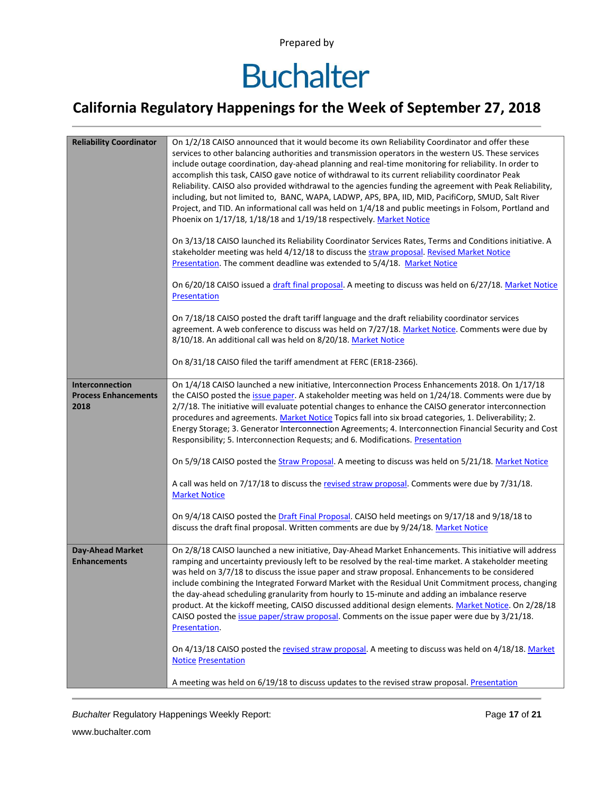# **Buchalter**

### **California Regulatory Happenings for the Week of September 27, 2018**

| <b>Reliability Coordinator</b>                 | On 1/2/18 CAISO announced that it would become its own Reliability Coordinator and offer these<br>services to other balancing authorities and transmission operators in the western US. These services<br>include outage coordination, day-ahead planning and real-time monitoring for reliability. In order to<br>accomplish this task, CAISO gave notice of withdrawal to its current reliability coordinator Peak<br>Reliability. CAISO also provided withdrawal to the agencies funding the agreement with Peak Reliability,<br>including, but not limited to, BANC, WAPA, LADWP, APS, BPA, IID, MID, PacifiCorp, SMUD, Salt River<br>Project, and TID. An informational call was held on 1/4/18 and public meetings in Folsom, Portland and<br>Phoenix on 1/17/18, 1/18/18 and 1/19/18 respectively. Market Notice<br>On 3/13/18 CAISO launched its Reliability Coordinator Services Rates, Terms and Conditions initiative. A<br>stakeholder meeting was held 4/12/18 to discuss the straw proposal. Revised Market Notice<br>Presentation. The comment deadline was extended to 5/4/18. Market Notice<br>On 6/20/18 CAISO issued a draft final proposal. A meeting to discuss was held on 6/27/18. Market Notice<br>Presentation<br>On 7/18/18 CAISO posted the draft tariff language and the draft reliability coordinator services<br>agreement. A web conference to discuss was held on 7/27/18. Market Notice. Comments were due by<br>8/10/18. An additional call was held on 8/20/18. Market Notice<br>On 8/31/18 CAISO filed the tariff amendment at FERC (ER18-2366). |  |  |  |  |  |
|------------------------------------------------|--------------------------------------------------------------------------------------------------------------------------------------------------------------------------------------------------------------------------------------------------------------------------------------------------------------------------------------------------------------------------------------------------------------------------------------------------------------------------------------------------------------------------------------------------------------------------------------------------------------------------------------------------------------------------------------------------------------------------------------------------------------------------------------------------------------------------------------------------------------------------------------------------------------------------------------------------------------------------------------------------------------------------------------------------------------------------------------------------------------------------------------------------------------------------------------------------------------------------------------------------------------------------------------------------------------------------------------------------------------------------------------------------------------------------------------------------------------------------------------------------------------------------------------------------------------------------------------|--|--|--|--|--|
| Interconnection<br><b>Process Enhancements</b> | On 1/4/18 CAISO launched a new initiative, Interconnection Process Enhancements 2018. On 1/17/18                                                                                                                                                                                                                                                                                                                                                                                                                                                                                                                                                                                                                                                                                                                                                                                                                                                                                                                                                                                                                                                                                                                                                                                                                                                                                                                                                                                                                                                                                     |  |  |  |  |  |
| 2018                                           | the CAISO posted the issue paper. A stakeholder meeting was held on 1/24/18. Comments were due by<br>2/7/18. The initiative will evaluate potential changes to enhance the CAISO generator interconnection<br>procedures and agreements. Market Notice Topics fall into six broad categories, 1. Deliverability; 2.<br>Energy Storage; 3. Generator Interconnection Agreements; 4. Interconnection Financial Security and Cost<br>Responsibility; 5. Interconnection Requests; and 6. Modifications. Presentation                                                                                                                                                                                                                                                                                                                                                                                                                                                                                                                                                                                                                                                                                                                                                                                                                                                                                                                                                                                                                                                                    |  |  |  |  |  |
|                                                | On 5/9/18 CAISO posted the Straw Proposal. A meeting to discuss was held on 5/21/18. Market Notice                                                                                                                                                                                                                                                                                                                                                                                                                                                                                                                                                                                                                                                                                                                                                                                                                                                                                                                                                                                                                                                                                                                                                                                                                                                                                                                                                                                                                                                                                   |  |  |  |  |  |
|                                                | A call was held on 7/17/18 to discuss the revised straw proposal. Comments were due by 7/31/18.<br><b>Market Notice</b>                                                                                                                                                                                                                                                                                                                                                                                                                                                                                                                                                                                                                                                                                                                                                                                                                                                                                                                                                                                                                                                                                                                                                                                                                                                                                                                                                                                                                                                              |  |  |  |  |  |
|                                                | On 9/4/18 CAISO posted the Draft Final Proposal. CAISO held meetings on 9/17/18 and 9/18/18 to<br>discuss the draft final proposal. Written comments are due by 9/24/18. Market Notice                                                                                                                                                                                                                                                                                                                                                                                                                                                                                                                                                                                                                                                                                                                                                                                                                                                                                                                                                                                                                                                                                                                                                                                                                                                                                                                                                                                               |  |  |  |  |  |
| <b>Day-Ahead Market</b><br><b>Enhancements</b> | On 2/8/18 CAISO launched a new initiative, Day-Ahead Market Enhancements. This initiative will address<br>ramping and uncertainty previously left to be resolved by the real-time market. A stakeholder meeting<br>was held on 3/7/18 to discuss the issue paper and straw proposal. Enhancements to be considered<br>include combining the Integrated Forward Market with the Residual Unit Commitment process, changing<br>the day-ahead scheduling granularity from hourly to 15-minute and adding an imbalance reserve<br>product. At the kickoff meeting, CAISO discussed additional design elements. Market Notice. On 2/28/18<br>CAISO posted the issue paper/straw proposal. Comments on the issue paper were due by 3/21/18.<br>Presentation.                                                                                                                                                                                                                                                                                                                                                                                                                                                                                                                                                                                                                                                                                                                                                                                                                               |  |  |  |  |  |
|                                                | On 4/13/18 CAISO posted the revised straw proposal. A meeting to discuss was held on 4/18/18. Market<br><b>Notice Presentation</b>                                                                                                                                                                                                                                                                                                                                                                                                                                                                                                                                                                                                                                                                                                                                                                                                                                                                                                                                                                                                                                                                                                                                                                                                                                                                                                                                                                                                                                                   |  |  |  |  |  |
|                                                | A meeting was held on 6/19/18 to discuss updates to the revised straw proposal. Presentation                                                                                                                                                                                                                                                                                                                                                                                                                                                                                                                                                                                                                                                                                                                                                                                                                                                                                                                                                                                                                                                                                                                                                                                                                                                                                                                                                                                                                                                                                         |  |  |  |  |  |

**Buchalter Regulatory Happenings Weekly Report:** Page 17 of 21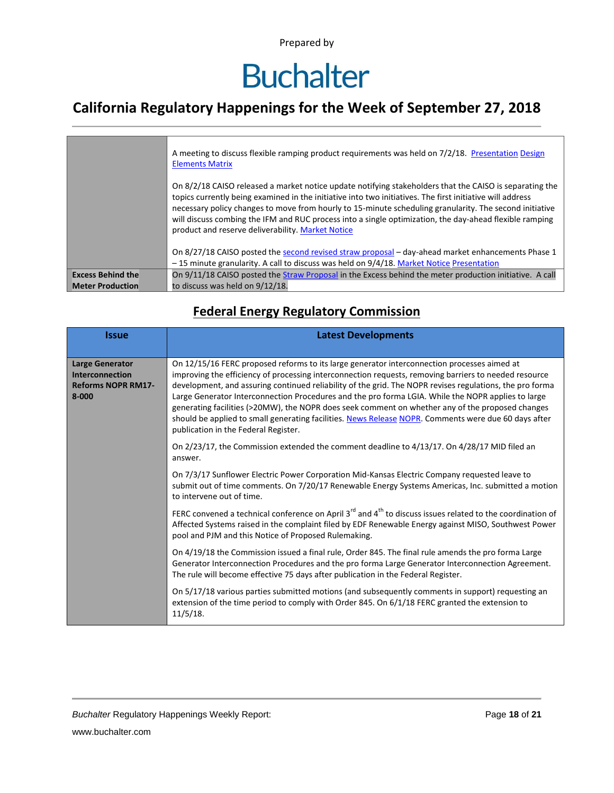# **Buchalter**

### **California Regulatory Happenings for the Week of September 27, 2018**

|                          | A meeting to discuss flexible ramping product requirements was held on 7/2/18. Presentation Design<br><b>Elements Matrix</b><br>On 8/2/18 CAISO released a market notice update notifying stakeholders that the CAISO is separating the<br>topics currently being examined in the initiative into two initiatives. The first initiative will address<br>necessary policy changes to move from hourly to 15-minute scheduling granularity. The second initiative<br>will discuss combing the IFM and RUC process into a single optimization, the day-ahead flexible ramping |
|--------------------------|----------------------------------------------------------------------------------------------------------------------------------------------------------------------------------------------------------------------------------------------------------------------------------------------------------------------------------------------------------------------------------------------------------------------------------------------------------------------------------------------------------------------------------------------------------------------------|
|                          | product and reserve deliverability. Market Notice<br>On 8/27/18 CAISO posted the second revised straw proposal – day-ahead market enhancements Phase 1<br>-15 minute granularity. A call to discuss was held on 9/4/18. Market Notice Presentation                                                                                                                                                                                                                                                                                                                         |
| <b>Excess Behind the</b> | On 9/11/18 CAISO posted the Straw Proposal in the Excess behind the meter production initiative. A call                                                                                                                                                                                                                                                                                                                                                                                                                                                                    |
| <b>Meter Production</b>  | to discuss was held on 9/12/18.                                                                                                                                                                                                                                                                                                                                                                                                                                                                                                                                            |

#### **Federal Energy Regulatory Commission**

| <b>Issue</b>                                                                           | <b>Latest Developments</b>                                                                                                                                                                                                                                                                                                                                                                                                                                                                                                                                                                                                                                                 |  |  |  |  |
|----------------------------------------------------------------------------------------|----------------------------------------------------------------------------------------------------------------------------------------------------------------------------------------------------------------------------------------------------------------------------------------------------------------------------------------------------------------------------------------------------------------------------------------------------------------------------------------------------------------------------------------------------------------------------------------------------------------------------------------------------------------------------|--|--|--|--|
| <b>Large Generator</b><br><b>Interconnection</b><br><b>Reforms NOPR RM17-</b><br>8-000 | On 12/15/16 FERC proposed reforms to its large generator interconnection processes aimed at<br>improving the efficiency of processing interconnection requests, removing barriers to needed resource<br>development, and assuring continued reliability of the grid. The NOPR revises regulations, the pro forma<br>Large Generator Interconnection Procedures and the pro forma LGIA. While the NOPR applies to large<br>generating facilities (>20MW), the NOPR does seek comment on whether any of the proposed changes<br>should be applied to small generating facilities. News Release NOPR. Comments were due 60 days after<br>publication in the Federal Register. |  |  |  |  |
|                                                                                        | On 2/23/17, the Commission extended the comment deadline to 4/13/17. On 4/28/17 MID filed an<br>answer.                                                                                                                                                                                                                                                                                                                                                                                                                                                                                                                                                                    |  |  |  |  |
|                                                                                        | On 7/3/17 Sunflower Electric Power Corporation Mid-Kansas Electric Company requested leave to<br>submit out of time comments. On 7/20/17 Renewable Energy Systems Americas, Inc. submitted a motion<br>to intervene out of time.                                                                                                                                                                                                                                                                                                                                                                                                                                           |  |  |  |  |
|                                                                                        | FERC convened a technical conference on April 3 <sup>rd</sup> and 4 <sup>th</sup> to discuss issues related to the coordination of<br>Affected Systems raised in the complaint filed by EDF Renewable Energy against MISO, Southwest Power<br>pool and PJM and this Notice of Proposed Rulemaking.                                                                                                                                                                                                                                                                                                                                                                         |  |  |  |  |
|                                                                                        | On 4/19/18 the Commission issued a final rule, Order 845. The final rule amends the pro forma Large<br>Generator Interconnection Procedures and the pro forma Large Generator Interconnection Agreement.<br>The rule will become effective 75 days after publication in the Federal Register.                                                                                                                                                                                                                                                                                                                                                                              |  |  |  |  |
|                                                                                        | On 5/17/18 various parties submitted motions (and subsequently comments in support) requesting an<br>extension of the time period to comply with Order 845. On 6/1/18 FERC granted the extension to<br>$11/5/18$ .                                                                                                                                                                                                                                                                                                                                                                                                                                                         |  |  |  |  |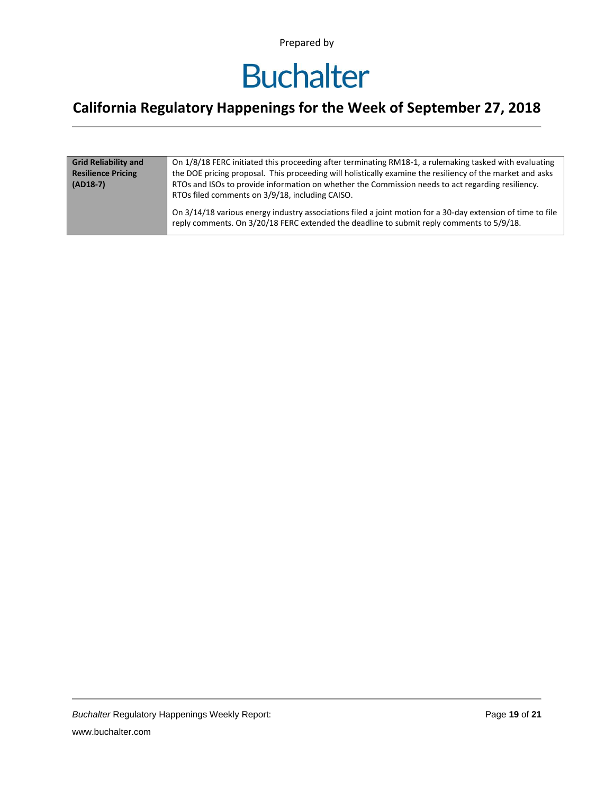## **Buchalter**

### **California Regulatory Happenings for the Week of September 27, 2018**

| <b>Grid Reliability and</b> | On 1/8/18 FERC initiated this proceeding after terminating RM18-1, a rulemaking tasked with evaluating                                                                                                   |  |  |  |  |
|-----------------------------|----------------------------------------------------------------------------------------------------------------------------------------------------------------------------------------------------------|--|--|--|--|
| <b>Resilience Pricing</b>   | the DOE pricing proposal. This proceeding will holistically examine the resiliency of the market and asks                                                                                                |  |  |  |  |
| $(AD18-7)$                  | RTOs and ISOs to provide information on whether the Commission needs to act regarding resiliency.<br>RTOs filed comments on 3/9/18, including CAISO.                                                     |  |  |  |  |
|                             | On 3/14/18 various energy industry associations filed a joint motion for a 30-day extension of time to file<br>reply comments. On 3/20/18 FERC extended the deadline to submit reply comments to 5/9/18. |  |  |  |  |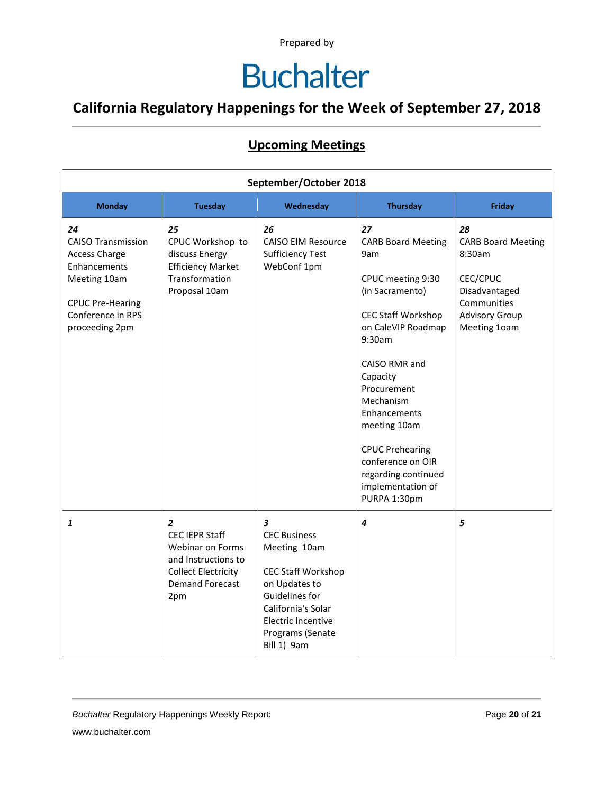# **Buchalter**

### **California Regulatory Happenings for the Week of September 27, 2018**

#### **Upcoming Meetings**

| September/October 2018                                                                                                                                    |                                                                                                                                                   |                                                                                                                                                                                                                      |                                                                                                                                                                                                                                                                                                                                                 |                                                                                                                                |
|-----------------------------------------------------------------------------------------------------------------------------------------------------------|---------------------------------------------------------------------------------------------------------------------------------------------------|----------------------------------------------------------------------------------------------------------------------------------------------------------------------------------------------------------------------|-------------------------------------------------------------------------------------------------------------------------------------------------------------------------------------------------------------------------------------------------------------------------------------------------------------------------------------------------|--------------------------------------------------------------------------------------------------------------------------------|
| <b>Monday</b>                                                                                                                                             | <b>Tuesday</b>                                                                                                                                    | Wednesday                                                                                                                                                                                                            | <b>Thursday</b>                                                                                                                                                                                                                                                                                                                                 | <b>Friday</b>                                                                                                                  |
| 24<br><b>CAISO Transmission</b><br><b>Access Charge</b><br>Enhancements<br>Meeting 10am<br><b>CPUC Pre-Hearing</b><br>Conference in RPS<br>proceeding 2pm | 25<br>CPUC Workshop to<br>discuss Energy<br><b>Efficiency Market</b><br>Transformation<br>Proposal 10am                                           | 26<br><b>CAISO EIM Resource</b><br><b>Sufficiency Test</b><br>WebConf 1pm                                                                                                                                            | 27<br><b>CARB Board Meeting</b><br>9am<br>CPUC meeting 9:30<br>(in Sacramento)<br><b>CEC Staff Workshop</b><br>on CaleVIP Roadmap<br>9:30am<br>CAISO RMR and<br>Capacity<br>Procurement<br>Mechanism<br>Enhancements<br>meeting 10am<br><b>CPUC Prehearing</b><br>conference on OIR<br>regarding continued<br>implementation of<br>PURPA 1:30pm | 28<br><b>CARB Board Meeting</b><br>8:30am<br>CEC/CPUC<br>Disadvantaged<br>Communities<br><b>Advisory Group</b><br>Meeting 10am |
| 1                                                                                                                                                         | $\overline{2}$<br><b>CEC IEPR Staff</b><br>Webinar on Forms<br>and Instructions to<br><b>Collect Electricity</b><br><b>Demand Forecast</b><br>2pm | $\overline{\mathbf{3}}$<br><b>CEC Business</b><br>Meeting 10am<br><b>CEC Staff Workshop</b><br>on Updates to<br>Guidelines for<br>California's Solar<br><b>Electric Incentive</b><br>Programs (Senate<br>Bill 1) 9am | 4                                                                                                                                                                                                                                                                                                                                               | 5                                                                                                                              |